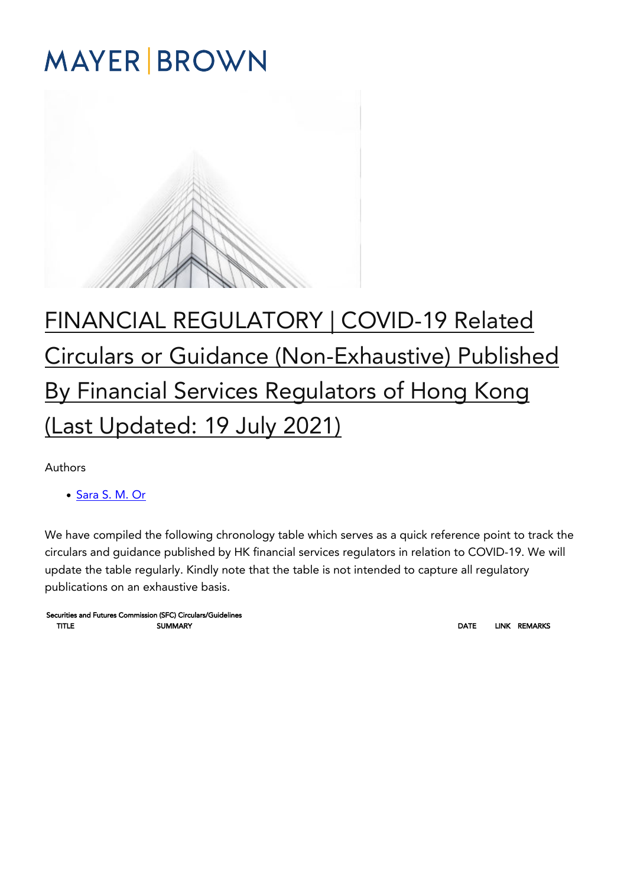# **MAYER BROWN**



## [FINANCIAL REGULATORY | COVID-19 Related](https://covid19.mayerbrown.com/financial-regulatory-covid-19-related-circulars-or-guidance-non-exhaustive-published-by-financial-services-regulators-of-hong-kong-last-updated-19-july-2021/) [Circulars or Guidance \(Non-Exhaustive\) Published](https://covid19.mayerbrown.com/financial-regulatory-covid-19-related-circulars-or-guidance-non-exhaustive-published-by-financial-services-regulators-of-hong-kong-last-updated-19-july-2021/) [By Financial Services Regulators of Hong Kong](https://covid19.mayerbrown.com/financial-regulatory-covid-19-related-circulars-or-guidance-non-exhaustive-published-by-financial-services-regulators-of-hong-kong-last-updated-19-july-2021/) [\(Last Updated: 19 July 2021\)](https://covid19.mayerbrown.com/financial-regulatory-covid-19-related-circulars-or-guidance-non-exhaustive-published-by-financial-services-regulators-of-hong-kong-last-updated-19-july-2021/)

Authors

[Sara S. M. Or](https://www.mayerbrown.com/en/people/o/or-sara-s-m)

We have compiled the following chronology table which serves as a quick reference point to track the circulars and guidance published by HK financial services regulators in relation to COVID-19. We will update the table regularly. Kindly note that the table is not intended to capture all regulatory publications on an exhaustive basis.

Securities and Futures Commission (SFC) Circulars/Guidelines TITLE SUMMARY DATE LINK REMARKS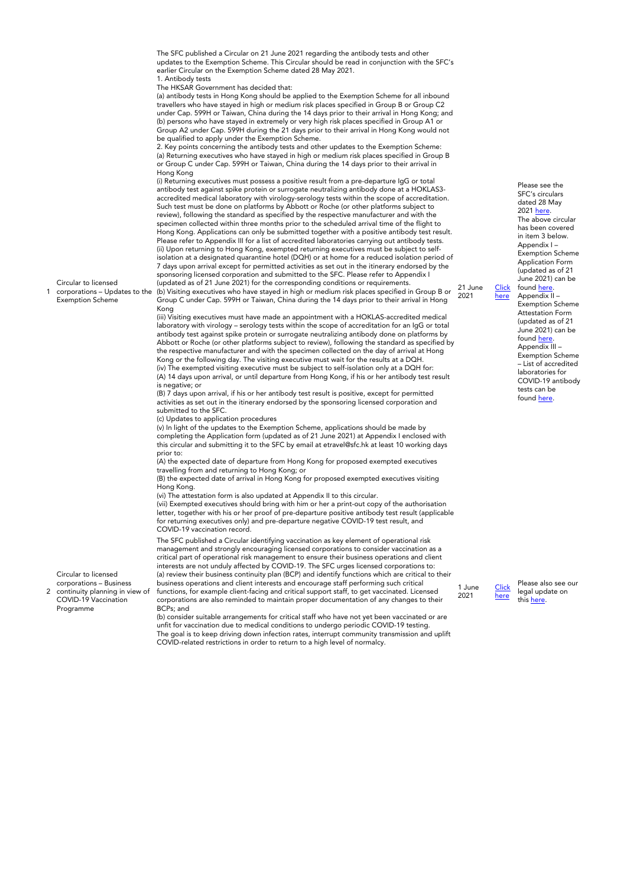Circular to licensed corporations – Updates to the Exemption Scheme earlier Circular on the Exemption Scheme dated 28 May 2021. 1. Antibody tests The HKSAR Government has decided that: (a) antibody tests in Hong Kong should be applied to the Exemption Scheme for all inbound travellers who have stayed in high or medium risk places specified in Group B or Group C2 under Cap. 599H or Taiwan, China during the 14 days prior to their arrival in Hong Kong; and (b) persons who have stayed in extremely or very high risk places specified in Group A1 or Group A2 under Cap. 599H during the 21 days prior to their arrival in Hong Kong would not be qualified to apply under the Exemption Scheme. 2. Key points concerning the antibody tests and other updates to the Exemption Scheme: (a) Returning executives who have stayed in high or medium risk places specified in Group B or Group C under Cap. 599H or Taiwan, China during the 14 days prior to their arrival in Hong Kong (i) Returning executives must possess a positive result from a pre-departure IgG or total antibody test against spike protein or surrogate neutralizing antibody done at a HOKLAS3 accredited medical laboratory with virology-serology tests within the scope of accreditation. Such test must be done on platforms by Abbott or Roche (or other platforms subject to review), following the standard as specified by the respective manufacturer and with the specimen collected within three months prior to the scheduled arrival time of the flight to Hong Kong. Applications can only be submitted together with a positive antibody test result. Please refer to Appendix III for a list of accredited laboratories carrying out antibody tests. (ii) Upon returning to Hong Kong, exempted returning executives must be subject to selfisolation at a designated quarantine hotel (DQH) or at home for a reduced isolation period of 7 days upon arrival except for permitted activities as set out in the itinerary endorsed by the sponsoring licensed corporation and submitted to the SFC. Please refer to Appendix I (updated as of 21 June 2021) for the corresponding conditions or requirements. (b) Visiting executives who have stayed in high or medium risk places specified in Group B or Group C under Cap. 599H or Taiwan, China during the 14 days prior to their arrival in Hong Kong (iii) Visiting executives must have made an appointment with a HOKLAS-accredited medical laboratory with virology – serology tests within the scope of accreditation for an IgG or total antibody test against spike protein or surrogate neutralizing antibody done on platforms by Abbott or Roche (or other platforms subject to review), following the standard as specified by the respective manufacturer and with the specimen collected on the day of arrival at Hong Kong or the following day. The visiting executive must wait for the results at a DQH. (iv) The exempted visiting executive must be subject to self-isolation only at a DQH for: (A) 14 days upon arrival, or until departure from Hong Kong, if his or her antibody test result is negative; or (B) 7 days upon arrival, if his or her antibody test result is positive, except for permitted activities as set out in the itinerary endorsed by the sponsoring licensed corporation and submitted to the SFC. (c) Updates to application procedures (v) In light of the updates to the Exemption Scheme, applications should be made by completing the Application form (updated as of 21 June 2021) at Appendix I enclosed with this circular and submitting it to the SFC by email at etravel@sfc.hk at least 10 working days prior to: (A) the expected date of departure from Hong Kong for proposed exempted executives travelling from and returning to Hong Kong; or (B) the expected date of arrival in Hong Kong for proposed exempted executives visiting Hong Kong. (vi) The attestation form is also updated at Appendix II to this circular. (vii) Exempted executives should bring with him or her a print-out copy of the authorisation letter, together with his or her proof of pre-departure positive antibody test result (applicable for returning executives only) and pre-departure negative COVID-19 test result, and COVID-19 vaccination record. 21 June 2021 The SFC published a Circular identifying vaccination as key element of operational risk

management and strongly encouraging licensed corporations to consider vaccination as a critical part of operational risk management to ensure their business operations and client interests are not unduly affected by COVID-19. The SFC urges licensed corporations to: (a) review their business continuity plan (BCP) and identify functions which are critical to their business operations and client interests and encourage staff performing such critical functions, for example client-facing and critical support staff, to get vaccinated. Licensed corporations are also reminded to maintain proper documentation of any changes to their BCPs; and

unfit for vaccination due to medical conditions to undergo periodic COVID-19 testing. The goal is to keep driving down infection rates, interrupt community transmission and uplift COVID-related restrictions in order to return to a high level of normalcy.

2021 <u>here</u>. The above circular has been covered in item 3 below. Appendix I – Exemption Scheme Application Form (updated as of 21 June 2021) can be found [here.](https://apps.sfc.hk/edistributionWeb/api/circular/openAppendix?lang=EN&refNo=21EC24&appendix=0) Appendix II – Exemption Scheme Attestation Form (updated as of 21 June 2021) can be found <u>here</u>. Appendix III – Exemption Scheme – List of accredited laboratories for COVID-19 antibody tests can be

found [here.](https://apps.sfc.hk/edistributionWeb/api/circular/openAppendix?lang=EN&refNo=21EC24&appendix=2)

Please see the SFC's circulars dated 28 May

**[Click](https://apps.sfc.hk/edistributionWeb/gateway/EN/circular/doc?refNo=21EC24)** [here](https://apps.sfc.hk/edistributionWeb/gateway/EN/circular/doc?refNo=21EC24)

1 June 2021

[Click](https://apps.sfc.hk/edistributionWeb/gateway/EN/news-and-announcements/news/doc?refNo=21PR55) [here](https://apps.sfc.hk/edistributionWeb/gateway/EN/news-and-announcements/news/doc?refNo=21PR55)

Please also see our legal update on this [here.](https://www.mayerbrown.com/en/perspectives-events/publications/2021/06/quarantine-exemptions-and-covid-19-vaccinations-for-the-hong-kong-financial-and-insurance-industries-who-is-next)

Circular to licensed corporations – Business

1

2 continuity planning in view of COVID-19 Vaccination Programme

The SFC published a Circular on 21 June 2021 regarding the antibody tests and other updates to the Exemption Scheme. This Circular should be read in conjunction with the SFC's

(b) consider suitable arrangements for critical staff who have not yet been vaccinated or are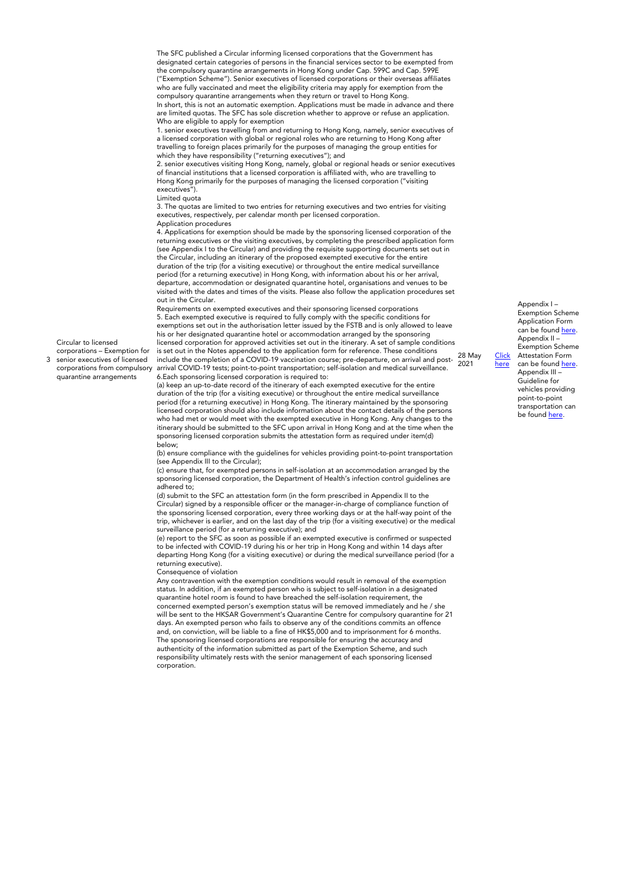The SFC published a Circular informing licensed corporations that the Government has designated certain categories of persons in the financial services sector to be exempted from the compulsory quarantine arrangements in Hong Kong under Cap. 599C and Cap. 599E ("Exemption Scheme"). Senior executives of licensed corporations or their overseas affiliates who are fully vaccinated and meet the eligibility criteria may apply for exemption from the compulsory quarantine arrangements when they return or travel to Hong Kong. In short, this is not an automatic exemption. Applications must be made in advance and there are limited quotas. The SFC has sole discretion whether to approve or refuse an application. Who are eligible to apply for exemption

1. senior executives travelling from and returning to Hong Kong, namely, senior executives of a licensed corporation with global or regional roles who are returning to Hong Kong after travelling to foreign places primarily for the purposes of managing the group entities for which they have responsibility ("returning executives"); and

2. senior executives visiting Hong Kong, namely, global or regional heads or senior executives of financial institutions that a licensed corporation is affiliated with, who are travelling to Hong Kong primarily for the purposes of managing the licensed corporation ("visiting executives").

Limited quota

3

Circular to licensed corporations – Exemption for senior executives of licensed corporations from compulsory quarantine arrangements

3. The quotas are limited to two entries for returning executives and two entries for visiting executives, respectively, per calendar month per licensed corporation. Application procedures

4. Applications for exemption should be made by the sponsoring licensed corporation of the returning executives or the visiting executives, by completing the prescribed application form (see Appendix I to the Circular) and providing the requisite supporting documents set out in the Circular, including an itinerary of the proposed exempted executive for the entire duration of the trip (for a visiting executive) or throughout the entire medical surveillance period (for a returning executive) in Hong Kong, with information about his or her arrival, departure, accommodation or designated quarantine hotel, organisations and venues to be visited with the dates and times of the visits. Please also follow the application procedures set out in the Circular.

Requirements on exempted executives and their sponsoring licensed corporations 5. Each exempted executive is required to fully comply with the specific conditions for exemptions set out in the authorisation letter issued by the FSTB and is only allowed to leave his or her designated quarantine hotel or accommodation arranged by the sponsoring licensed corporation for approved activities set out in the itinerary. A set of sample conditions is set out in the Notes appended to the application form for reference. These conditions include the completion of a COVID-19 vaccination course; pre-departure, on arrival and postarrival COVID-19 tests; point-to-point transportation; self-isolation and medical surveillance. 6.Each sponsoring licensed corporation is required to:

(a) keep an up-to-date record of the itinerary of each exempted executive for the entire duration of the trip (for a visiting executive) or throughout the entire medical surveillance period (for a returning executive) in Hong Kong. The itinerary maintained by the sponsoring licensed corporation should also include information about the contact details of the persons who had met or would meet with the exempted executive in Hong Kong. Any changes to the itinerary should be submitted to the SFC upon arrival in Hong Kong and at the time when the sponsoring licensed corporation submits the attestation form as required under item(d) below;

(b) ensure compliance with the guidelines for vehicles providing point-to-point transportation (see Appendix III to the Circular);

(c) ensure that, for exempted persons in self-isolation at an accommodation arranged by the sponsoring licensed corporation, the Department of Health's infection control guidelines are adhered to;

(d) submit to the SFC an attestation form (in the form prescribed in Appendix II to the Circular) signed by a responsible officer or the manager-in-charge of compliance function of the sponsoring licensed corporation, every three working days or at the half-way point of the trip, whichever is earlier, and on the last day of the trip (for a visiting executive) or the medical surveillance period (for a returning executive); and

(e) report to the SFC as soon as possible if an exempted executive is confirmed or suspected to be infected with COVID-19 during his or her trip in Hong Kong and within 14 days after departing Hong Kong (for a visiting executive) or during the medical surveillance period (for a returning executive).

Consequence of violation

Any contravention with the exemption conditions would result in removal of the exemption status. In addition, if an exempted person who is subject to self-isolation in a designated quarantine hotel room is found to have breached the self-isolation requirement, the concerned exempted person's exemption status will be removed immediately and he / she will be sent to the HKSAR Government's Quarantine Centre for compulsory quarantine for 21 days. An exempted person who fails to observe any of the conditions commits an offence and, on conviction, will be liable to a fine of HK\$5,000 and to imprisonment for 6 months. The sponsoring licensed corporations are responsible for ensuring the accuracy and authenticity of the information submitted as part of the Exemption Scheme, and such responsibility ultimately rests with the senior management of each sponsoring licensed corporation.

28 May 2021

[Click](https://apps.sfc.hk/edistributionWeb/api/circular/openFile?lang=EN&refNo=21EC18) [here](https://apps.sfc.hk/edistributionWeb/api/circular/openFile?lang=EN&refNo=21EC18)

Application Form can be found [here.](https://apps.sfc.hk/edistributionWeb/api/circular/openAppendix?lang=EN&refNo=21EC18&appendix=0) Appendix II – Exemption Scheme Attestation Form can be found [here.](https://apps.sfc.hk/edistributionWeb/api/circular/openAppendix?lang=EN&refNo=21EC18&appendix=1) Appendix III – Guideline for vehicles providing point-to-point transportation can be found [here.](https://apps.sfc.hk/edistributionWeb/api/circular/openAppendix?lang=EN&refNo=21EC18&appendix=2)

Appendix I – Exemption Scheme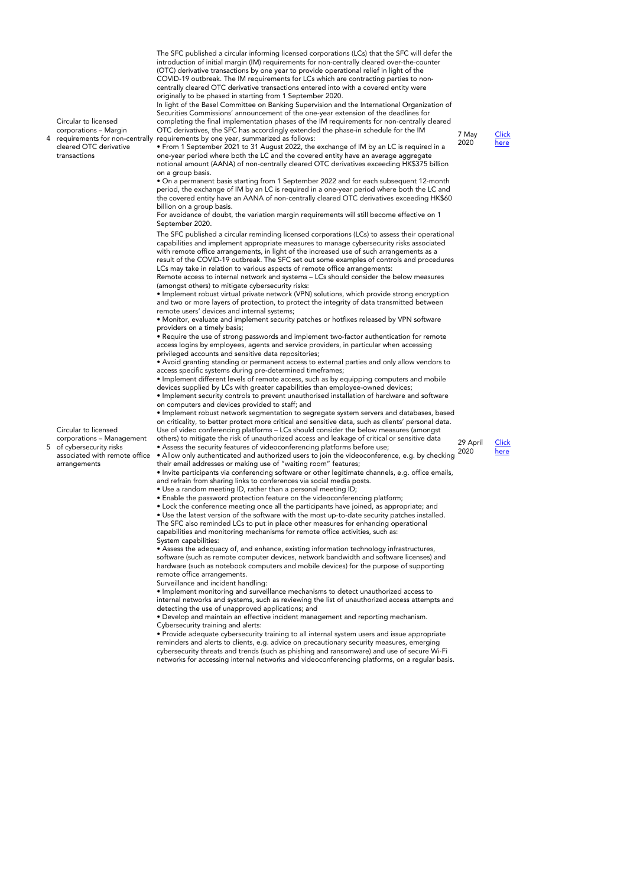The SFC published a circular informing licensed corporations (LCs) that the SFC will defer the introduction of initial margin (IM) requirements for non-centrally cleared over-the-counter (OTC) derivative transactions by one year to provide operational relief in light of the COVID-19 outbreak. The IM requirements for LCs which are contracting parties to noncentrally cleared OTC derivative transactions entered into with a covered entity were originally to be phased in starting from 1 September 2020.

In light of the Basel Committee on Banking Supervision and the International Organization of Securities Commissions' announcement of the one-year extension of the deadlines for constructed commissions dimensioned in the sine year extension of the dealermines for non-centrally cleared OTC derivatives, the SFC has accordingly extended the phase-in schedule for the IM requirements by one year, summarized as follows:

2020 **[Click](https://www.sfc.hk/edistributionWeb/gateway/EN/circular/intermediaries/supervision/doc?refNo=20EC41)** [here](https://www.sfc.hk/edistributionWeb/gateway/EN/circular/intermediaries/supervision/doc?refNo=20EC41)

requirements for non-centrally • From 1 September 2021 to 31 August 2022, the exchange of IM by an LC is required in a one-year period where both the LC and the covered entity have an average aggregate notional amount (AANA) of non-centrally cleared OTC derivatives exceeding HK\$375 billion on a group basis.

• On a permanent basis starting from 1 September 2022 and for each subsequent 12-month period, the exchange of IM by an LC is required in a one-year period where both the LC and the covered entity have an AANA of non-centrally cleared OTC derivatives exceeding HK\$60 billion on a group basis.

For avoidance of doubt, the variation margin requirements will still become effective on 1 September 2020.

The SFC published a circular reminding licensed corporations (LCs) to assess their operational capabilities and implement appropriate measures to manage cybersecurity risks associated with remote office arrangements, in light of the increased use of such arrangements as a result of the COVID-19 outbreak. The SFC set out some examples of controls and procedures LCs may take in relation to various aspects of remote office arrangements:

Remote access to internal network and systems – LCs should consider the below measures (amongst others) to mitigate cybersecurity risks: • Implement robust virtual private network (VPN) solutions, which provide strong encryption

and two or more layers of protection, to protect the integrity of data transmitted between remote users' devices and internal systems;

• Monitor, evaluate and implement security patches or hotfixes released by VPN software providers on a timely basis;

• Require the use of strong passwords and implement two-factor authentication for remote access logins by employees, agents and service providers, in particular when accessing privileged accounts and sensitive data repositories;

• Avoid granting standing or permanent access to external parties and only allow vendors to access specific systems during pre-determined timeframes;

• Implement different levels of remote access, such as by equipping computers and mobile devices supplied by LCs with greater capabilities than employee-owned devices;

• Implement security controls to prevent unauthorised installation of hardware and software on computers and devices provided to staff; and

• Implement robust network segmentation to segregate system servers and databases, based on criticality, to better protect more critical and sensitive data, such as clients' personal data. Use of video conferencing platforms – LCs should consider the below measures (amongst others) to mitigate the risk of unauthorized access and leakage of critical or sensitive data • Assess the security features of videoconferencing platforms before use;

• Allow only authenticated and authorized users to join the videoconference, e.g. by checking their email addresses or making use of "waiting room" features;

• Invite participants via conferencing software or other legitimate channels, e.g. office emails, and refrain from sharing links to conferences via social media posts.

• Use a random meeting ID, rather than a personal meeting ID;

• Enable the password protection feature on the videoconferencing platform;

• Lock the conference meeting once all the participants have joined, as appropriate; and • Use the latest version of the software with the most up-to-date security patches installed. The SFC also reminded LCs to put in place other measures for enhancing operational capabilities and monitoring mechanisms for remote office activities, such as: System capabilities:

• Assess the adequacy of, and enhance, existing information technology infrastructures, software (such as remote computer devices, network bandwidth and software licenses) and hardware (such as notebook computers and mobile devices) for the purpose of supporting remote office arrangements.

Surveillance and incident handling:

• Implement monitoring and surveillance mechanisms to detect unauthorized access to internal networks and systems, such as reviewing the list of unauthorized access attempts and detecting the use of unapproved applications; and

• Develop and maintain an effective incident management and reporting mechanism. Cybersecurity training and alerts:

• Provide adequate cybersecurity training to all internal system users and issue appropriate reminders and alerts to clients, e.g. advice on precautionary security measures, emerging cybersecurity threats and trends (such as phishing and ransomware) and use of secure Wi-Fi networks for accessing internal networks and videoconferencing platforms, on a regular basis.

Circular to licensed corporations – Management of cybersecurity risks associated with remote office arrangements

5



29 April 2020

Circular to licensed corporations – Margin

cleared OTC derivative transactions

4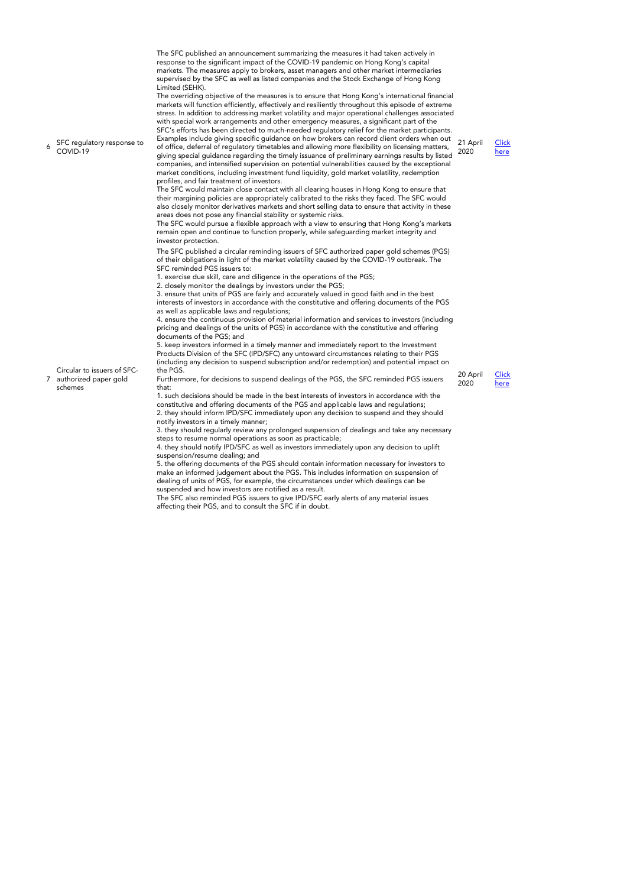The SFC published an announcement summarizing the measures it had taken actively in response to the significant impact of the COVID-19 pandemic on Hong Kong's capital markets. The measures apply to brokers, asset managers and other market intermediaries supervised by the SFC as well as listed companies and the Stock Exchange of Hong Kong Limited (SEHK).

The overriding objective of the measures is to ensure that Hong Kong's international financial markets will function efficiently, effectively and resiliently throughout this episode of extreme stress. In addition to addressing market volatility and major operational challenges associated with special work arrangements and other emergency measures, a significant part of the SFC's efforts has been directed to much-needed regulatory relief for the market participants. Examples include giving specific guidance on how brokers can record client orders when out

6 SFC regulatory response to COVID-19

21 April 2020 [Click](https://www.sfc.hk/edistributionWeb/gateway/EN/news-and-announcements/news/doc?refNo=20PR35) [here](https://www.sfc.hk/edistributionWeb/gateway/EN/news-and-announcements/news/doc?refNo=20PR35)

of office, deferral of regulatory timetables and allowing more flexibility on licensing matters, giving special guidance regarding the timely issuance of preliminary earnings results by listed companies, and intensified supervision on potential vulnerabilities caused by the exceptional market conditions, including investment fund liquidity, gold market volatility, redemption profiles, and fair treatment of investors. The SFC would maintain close contact with all clearing houses in Hong Kong to ensure that their margining policies are appropriately calibrated to the risks they faced. The SFC would

also closely monitor derivatives markets and short selling data to ensure that activity in these areas does not pose any financial stability or systemic risks. The SFC would pursue a flexible approach with a view to ensuring that Hong Kong's markets

remain open and continue to function properly, while safeguarding market integrity and investor protection.

The SFC published a circular reminding issuers of SFC authorized paper gold schemes (PGS) of their obligations in light of the market volatility caused by the COVID-19 outbreak. The SFC reminded PGS issuers to:

1. exercise due skill, care and diligence in the operations of the PGS;

2. closely monitor the dealings by investors under the PGS;

3. ensure that units of PGS are fairly and accurately valued in good faith and in the best interests of investors in accordance with the constitutive and offering documents of the PGS as well as applicable laws and regulations;

4. ensure the continuous provision of material information and services to investors (including pricing and dealings of the units of PGS) in accordance with the constitutive and offering documents of the PGS; and

5. keep investors informed in a timely manner and immediately report to the Investment Products Division of the SFC (IPD/SFC) any untoward circumstances relating to their PGS (including any decision to suspend subscription and/or redemption) and potential impact on the PGS.

Circular to issuers of SFCauthorized paper gold schemes

7

Furthermore, for decisions to suspend dealings of the PGS, the SFC reminded PGS issuers that:

1. such decisions should be made in the best interests of investors in accordance with the constitutive and offering documents of the PGS and applicable laws and regulations; 2. they should inform IPD/SFC immediately upon any decision to suspend and they should notify investors in a timely manner;

3. they should regularly review any prolonged suspension of dealings and take any necessary steps to resume normal operations as soon as practicable;

4. they should notify IPD/SFC as well as investors immediately upon any decision to uplift suspension/resume dealing; and

5. the offering documents of the PGS should contain information necessary for investors to make an informed judgement about the PGS. This includes information on suspension of dealing of units of PGS, for example, the circumstances under which dealings can be suspended and how investors are notified as a result.

The SFC also reminded PGS issuers to give IPD/SFC early alerts of any material issues affecting their PGS, and to consult the SFC if in doubt.



2020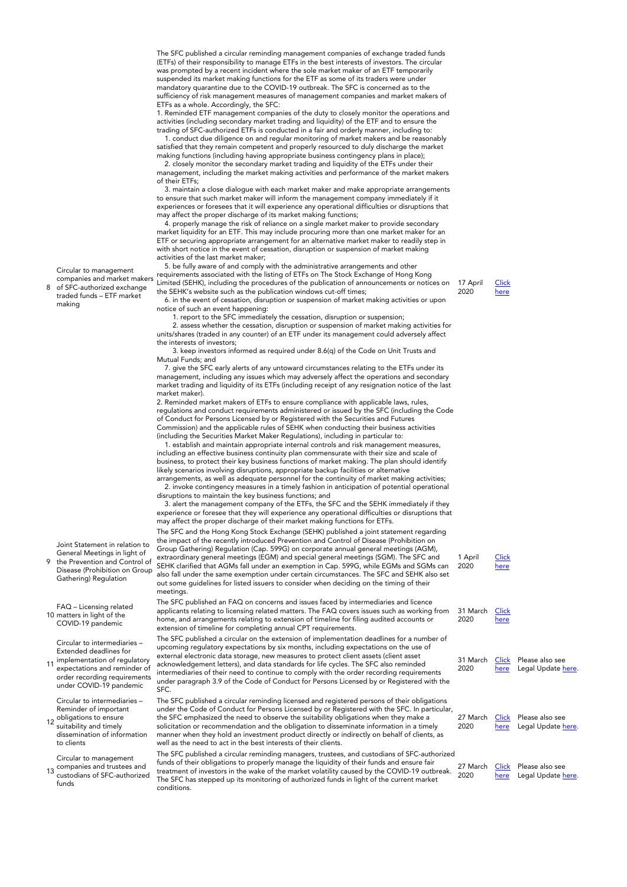The SFC published a circular reminding management companies of exchange traded funds (ETFs) of their responsibility to manage ETFs in the best interests of investors. The circular was prompted by a recent incident where the sole market maker of an ETF temporarily suspended its market making functions for the ETF as some of its traders were under mandatory quarantine due to the COVID-19 outbreak. The SFC is concerned as to the sufficiency of risk management measures of management companies and market makers of ETFs as a whole. Accordingly, the SFC:

1. Reminded ETF management companies of the duty to closely monitor the operations and activities (including secondary market trading and liquidity) of the ETF and to ensure the trading of SFC-authorized ETFs is conducted in a fair and orderly manner, including to:

 1. conduct due diligence on and regular monitoring of market makers and be reasonably satisfied that they remain competent and properly resourced to duly discharge the market making functions (including having appropriate business contingency plans in place);

 2. closely monitor the secondary market trading and liquidity of the ETFs under their management, including the market making activities and performance of the market makers of their ETFs;

 3. maintain a close dialogue with each market maker and make appropriate arrangements to ensure that such market maker will inform the management company immediately if it experiences or foresees that it will experience any operational difficulties or disruptions that may affect the proper discharge of its market making functions;

 4. properly manage the risk of reliance on a single market maker to provide secondary market liquidity for an ETF. This may include procuring more than one market maker for an ETF or securing appropriate arrangement for an alternative market maker to readily step in with short notice in the event of cessation, disruption or suspension of market making activities of the last market maker;

 5. be fully aware of and comply with the administrative arrangements and other requirements associated with the listing of ETFs on The Stock Exchange of Hong Kong Limited (SEHK), including the procedures of the publication of announcements or notices on the SEHK's website such as the publication windows cut-off times;

 6. in the event of cessation, disruption or suspension of market making activities or upon notice of such an event happening:

1. report to the SFC immediately the cessation, disruption or suspension;

 2. assess whether the cessation, disruption or suspension of market making activities for units/shares (traded in any counter) of an ETF under its management could adversely affect the interests of investors;

 3. keep investors informed as required under 8.6(q) of the Code on Unit Trusts and Mutual Funds; and

 7. give the SFC early alerts of any untoward circumstances relating to the ETFs under its management, including any issues which may adversely affect the operations and secondary market trading and liquidity of its ETFs (including receipt of any resignation notice of the last market maker).

2. Reminded market makers of ETFs to ensure compliance with applicable laws, rules, regulations and conduct requirements administered or issued by the SFC (including the Code of Conduct for Persons Licensed by or Registered with the Securities and Futures Commission) and the applicable rules of SEHK when conducting their business activities (including the Securities Market Maker Regulations), including in particular to:

 1. establish and maintain appropriate internal controls and risk management measures, including an effective business continuity plan commensurate with their size and scale of business, to protect their key business functions of market making. The plan should identify likely scenarios involving disruptions, appropriate backup facilities or alternative arrangements, as well as adequate personnel for the continuity of market making activities;

 2. invoke contingency measures in a timely fashion in anticipation of potential operational disruptions to maintain the key business functions; and

 3. alert the management company of the ETFs, the SFC and the SEHK immediately if they experience or foresee that they will experience any operational difficulties or disruptions that may affect the proper discharge of their market making functions for ETFs.

The SFC and the Hong Kong Stock Exchange (SEHK) published a joint statement regarding the impact of the recently introduced Prevention and Control of Disease (Prohibition on Group Gathering) Regulation (Cap. 599G) on corporate annual general meetings (AGM), extraordinary general meetings (EGM) and special general meetings (SGM). The SFC and SEHK clarified that AGMs fall under an exemption in Cap. 599G, while EGMs and SGMs can also fall under the same exemption under certain circumstances. The SFC and SEHK also set out some guidelines for listed issuers to consider when deciding on the timing of their meetings.

The SFC published an FAQ on concerns and issues faced by intermediaries and licence applicants relating to licensing related matters. The FAQ covers issues such as working from home, and arrangements relating to extension of timeline for filing audited accounts or extension of timeline for completing annual CPT requirements. 31 March

The SFC published a circular on the extension of implementation deadlines for a number of upcoming regulatory expectations by six months, including expectations on the use of external electronic data storage, new measures to protect client assets (client asset acknowledgement letters), and data standards for life cycles. The SFC also reminded intermediaries of their need to continue to comply with the order recording requirements under paragraph 3.9 of the Code of Conduct for Persons Licensed by or Registered with the  $SEC$ 

The SFC published a circular reminding licensed and registered persons of their obligations under the Code of Conduct for Persons Licensed by or Registered with the SFC. In particular, the SFC emphasized the need to observe the suitability obligations when they make a solicitation or recommendation and the obligation to disseminate information in a timely manner when they hold an investment product directly or indirectly on behalf of clients, as well as the need to act in the best interests of their clients. 27 Mar 2020

The SFC published a circular reminding managers, trustees, and custodians of SFC-authorized funds of their obligations to properly manage the liquidity of their funds and ensure fair treatment of investors in the wake of the market volatility caused by the COVID-19 outbreak. The SFC has stepped up its monitoring of authorized funds in light of the current market conditions. 27 March 2020

1 April 2020 **[Click](https://www.sfc.hk/web/EN/news-and-announcements/policy-statements-and-announcements/joint-guidance-on-agms-and-egms.html)** [here](https://www.sfc.hk/web/EN/news-and-announcements/policy-statements-and-announcements/joint-guidance-on-agms-and-egms.html)

| 31 March<br>2020 | Click<br>here |                                                      |
|------------------|---------------|------------------------------------------------------|
| 2020             | here          | 31 March Click Please also see<br>Legal Update here. |

| here | ch Click Please also see<br>Legal Update here. |
|------|------------------------------------------------|
|      |                                                |

| Click Please also see |
|-----------------------|
| here Legal Update he  |

Circular to management

8 companies and market makers of SFC-authorized exchange traded funds – ETF market making

Joint Statement in relation to General Meetings in light of

9 the Prevention and Control of Disease (Prohibition on Group Gathering) Regulation

10 matters in light of the FAQ – Licensing related COVID-19 pandemic

Circular to intermediaries – Extended deadlines for

11 implementation of regulatory expectations and reminder of order recording requirements under COVID-19 pandemic

12 obligations to ensure Circular to intermediaries – Reminder of important

suitability and timely dissemination of information to clients

13 companies and trustees and<br>13 custodians of SEC authorize Circular to management custodians of SFC-authorized funds

17 April 2020 **[Click](https://www.sfc.hk/edistributionWeb/gateway/EN/circular/doc?refNo=20EC30)** [here](https://www.sfc.hk/edistributionWeb/gateway/EN/circular/doc?refNo=20EC30)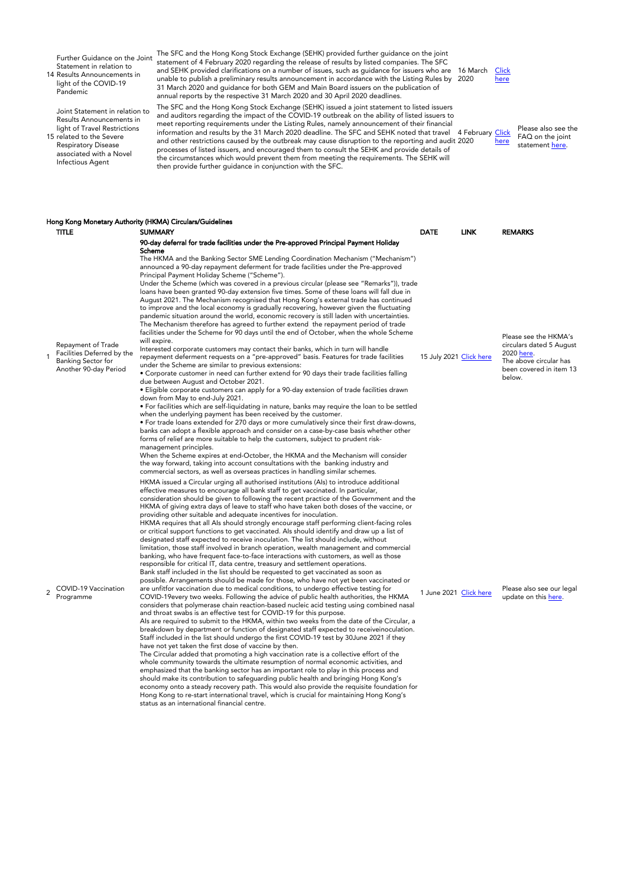Further Guidance on the Joint Statement in relation to

14 Results Announcements in light of the COVID-19 Pandemic

Joint Statement in relation to Results Announcements in light of Travel Restrictions

15 related to the Severe Respiratory Disease associated with a Novel Infectious Agent

1

 $\overline{2}$ 

The SFC and the Hong Kong Stock Exchange (SEHK) provided further guidance on the joint statement of 4 February 2020 regarding the release of results by listed companies. The SFC and SEHK provided clarifications on a number of issues, such as guidance for issuers who are unable to publish a preliminary results announcement in accordance with the Listing Rules by 2020 31 March 2020 and guidance for both GEM and Main Board issuers on the publication of annual reports by the respective 31 March 2020 and 30 April 2020 deadlines.

The SFC and the Hong Kong Stock Exchange (SEHK) issued a joint statement to listed issuers and auditors regarding the impact of the COVID-19 outbreak on the ability of listed issuers to meet reporting requirements under the Listing Rules, namely announcement of their financial information and results by the 31 March 2020 deadline. The SFC and SEHK noted that travel 4 February [Click](https://www.sfc.hk/web/EN/news-and-announcements/policy-statements-and-announcements/js-travel-restrictions-related-to-severe-respiratory-disease-associated-with-novel-infectious-agent.html) and other restrictions caused by the outbreak may cause disruption to the reporting and audit 2020 processes of listed issuers, and encouraged them to consult the SEHK and provide details of the circumstances which would prevent them from meeting the requirements. The SEHK will then provide further guidance in conjunction with the SFC.



[here](https://www.sfc.hk/web/EN/news-and-announcements/policy-statements-and-announcements/js-travel-restrictions-related-to-severe-respiratory-disease-associated-with-novel-infectious-agent.html)

Please also see the FAQ on the joint statement [here.](https://www.hkex.com.hk/-/media/HKEX-Market/Listing/Rules-and-Guidance/Other-Resources/Listed-Issuers/Joint-Statement-with-SFC/faqs_jointstate.pdf)

|                |                                                                                                        | Hong Kong Monetary Authority (HKMA) Circulars/Guidelines                                                                                                                                                                                                                                                                                                                                                                                                                                                                                                                                                                                                                                                                                                                                                                                                                                                                                                                                                                                                                                                                                                                                                                                                                                                                                                                                                                                                                                                                                                                                                                                                                                                                                                                                                                                                                                                                                                                                                                                                                                                                                                                                                                                                                                                                                                                                                                            |                         |             |                                                                                                                                |
|----------------|--------------------------------------------------------------------------------------------------------|-------------------------------------------------------------------------------------------------------------------------------------------------------------------------------------------------------------------------------------------------------------------------------------------------------------------------------------------------------------------------------------------------------------------------------------------------------------------------------------------------------------------------------------------------------------------------------------------------------------------------------------------------------------------------------------------------------------------------------------------------------------------------------------------------------------------------------------------------------------------------------------------------------------------------------------------------------------------------------------------------------------------------------------------------------------------------------------------------------------------------------------------------------------------------------------------------------------------------------------------------------------------------------------------------------------------------------------------------------------------------------------------------------------------------------------------------------------------------------------------------------------------------------------------------------------------------------------------------------------------------------------------------------------------------------------------------------------------------------------------------------------------------------------------------------------------------------------------------------------------------------------------------------------------------------------------------------------------------------------------------------------------------------------------------------------------------------------------------------------------------------------------------------------------------------------------------------------------------------------------------------------------------------------------------------------------------------------------------------------------------------------------------------------------------------------|-------------------------|-------------|--------------------------------------------------------------------------------------------------------------------------------|
|                | <b>TITLE</b>                                                                                           | <b>SUMMARY</b>                                                                                                                                                                                                                                                                                                                                                                                                                                                                                                                                                                                                                                                                                                                                                                                                                                                                                                                                                                                                                                                                                                                                                                                                                                                                                                                                                                                                                                                                                                                                                                                                                                                                                                                                                                                                                                                                                                                                                                                                                                                                                                                                                                                                                                                                                                                                                                                                                      | <b>DATE</b>             | <b>LINK</b> | <b>REMARKS</b>                                                                                                                 |
|                | Repayment of Trade<br>Facilities Deferred by the<br><b>Banking Sector for</b><br>Another 90-day Period | 90-day deferral for trade facilities under the Pre-approved Principal Payment Holiday<br>Scheme<br>The HKMA and the Banking Sector SME Lending Coordination Mechanism ("Mechanism")<br>announced a 90-day repayment deferment for trade facilities under the Pre-approved<br>Principal Payment Holiday Scheme ("Scheme").<br>Under the Scheme (which was covered in a previous circular (please see "Remarks")), trade<br>loans have been granted 90-day extension five times. Some of these loans will fall due in<br>August 2021. The Mechanism recognised that Hong Kong's external trade has continued<br>to improve and the local economy is gradually recovering, however given the fluctuating<br>pandemic situation around the world, economic recovery is still laden with uncertainties.<br>The Mechanism therefore has agreed to further extend the repayment period of trade<br>facilities under the Scheme for 90 days until the end of October, when the whole Scheme<br>will expire.<br>Interested corporate customers may contact their banks, which in turn will handle<br>repayment deferment requests on a "pre-approved" basis. Features for trade facilities<br>under the Scheme are similar to previous extensions:<br>• Corporate customer in need can further extend for 90 days their trade facilities falling<br>due between August and October 2021.<br>• Eligible corporate customers can apply for a 90-day extension of trade facilities drawn<br>down from May to end-July 2021.<br>• For facilities which are self-liquidating in nature, banks may require the loan to be settled<br>when the underlying payment has been received by the customer.<br>• For trade loans extended for 270 days or more cumulatively since their first draw-downs,<br>banks can adopt a flexible approach and consider on a case-by-case basis whether other<br>forms of relief are more suitable to help the customers, subject to prudent risk-<br>management principles.<br>When the Scheme expires at end-October, the HKMA and the Mechanism will consider<br>the way forward, taking into account consultations with the banking industry and<br>commercial sectors, as well as overseas practices in handling similar schemes.                                                                                                                                                                               | 15 July 2021 Click here |             | Please see the HKMA's<br>circulars dated 5 August<br>2020 here.<br>The above circular has<br>been covered in item 13<br>below. |
| $\overline{2}$ | COVID-19 Vaccination<br>Programme                                                                      | HKMA issued a Circular urging all authorised institutions (Als) to introduce additional<br>effective measures to encourage all bank staff to get vaccinated. In particular,<br>consideration should be given to following the recent practice of the Government and the<br>HKMA of giving extra days of leave to staff who have taken both doses of the vaccine, or<br>providing other suitable and adequate incentives for inoculation.<br>HKMA requires that all AIs should strongly encourage staff performing client-facing roles<br>or critical support functions to get vaccinated. Als should identify and draw up a list of<br>designated staff expected to receive inoculation. The list should include, without<br>limitation, those staff involved in branch operation, wealth management and commercial<br>banking, who have frequent face-to-face interactions with customers, as well as those<br>responsible for critical IT, data centre, treasury and settlement operations.<br>Bank staff included in the list should be requested to get vaccinated as soon as<br>possible. Arrangements should be made for those, who have not yet been vaccinated or<br>are unfitfor vaccination due to medical conditions, to undergo effective testing for<br>COVID-19every two weeks. Following the advice of public health authorities, the HKMA<br>considers that polymerase chain reaction-based nucleic acid testing using combined nasal<br>and throat swabs is an effective test for COVID-19 for this purpose.<br>Als are required to submit to the HKMA, within two weeks from the date of the Circular, a<br>breakdown by department or function of designated staff expected to receiveinoculation.<br>Staff included in the list should undergo the first COVID-19 test by 30June 2021 if they<br>have not yet taken the first dose of vaccine by then.<br>The Circular added that promoting a high vaccination rate is a collective effort of the<br>whole community towards the ultimate resumption of normal economic activities, and<br>emphasized that the banking sector has an important role to play in this process and<br>should make its contribution to safeguarding public health and bringing Hong Kong's<br>economy onto a steady recovery path. This would also provide the requisite foundation for<br>Hong Kong to re-start international travel, which is crucial for maintaining Hong Kong's | 1 June 2021 Click here  |             | Please also see our legal<br>update on this here.                                                                              |

status as an international financial centre.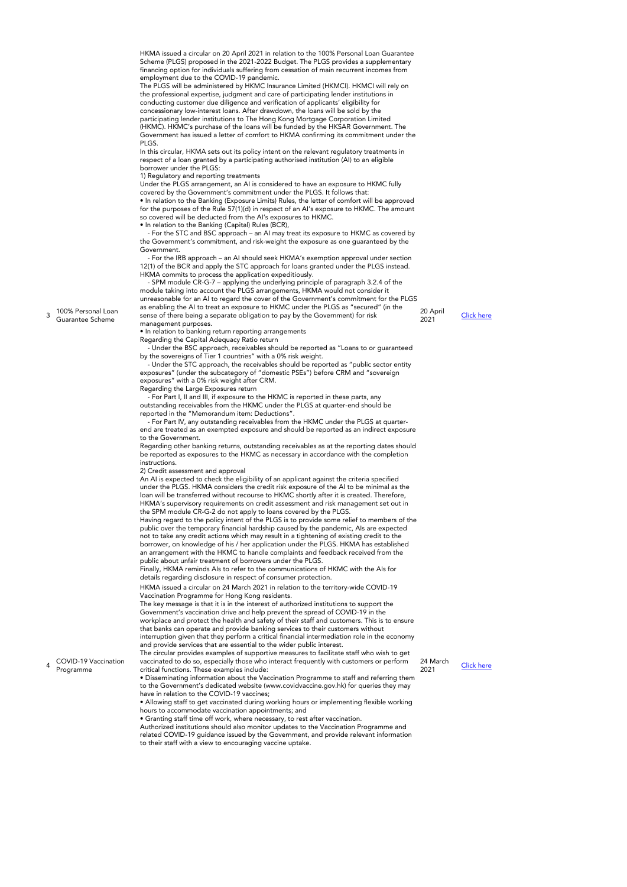HKMA issued a circular on 20 April 2021 in relation to the 100% Personal Loan Guarantee Scheme (PLGS) proposed in the 2021-2022 Budget. The PLGS provides a supplementary financing option for individuals suffering from cessation of main recurrent incomes from employment due to the COVID-19 pandemic.

The PLGS will be administered by HKMC Insurance Limited (HKMCI). HKMCI will rely on the professional expertise, judgment and care of participating lender institutions in conducting customer due diligence and verification of applicants' eligibility for concessionary low-interest loans. After drawdown, the loans will be sold by the participating lender institutions to The Hong Kong Mortgage Corporation Limited (HKMC). HKMC's purchase of the loans will be funded by the HKSAR Government. The Government has issued a letter of comfort to HKMA confirming its commitment under the PLGS.

In this circular, HKMA sets out its policy intent on the relevant regulatory treatments in respect of a loan granted by a participating authorised institution (AI) to an eligible borrower under the PLGS:

1) Regulatory and reporting treatments

Under the PLGS arrangement, an AI is considered to have an exposure to HKMC fully covered by the Government's commitment under the PLGS. It follows that:

• In relation to the Banking (Exposure Limits) Rules, the letter of comfort will be approved for the purposes of the Rule 57(1)(d) in respect of an AI's exposure to HKMC. The amount so covered will be deducted from the AI's exposures to HKMC.

• In relation to the Banking (Capital) Rules (BCR),

 - For the STC and BSC approach – an AI may treat its exposure to HKMC as covered by the Government's commitment, and risk-weight the exposure as one guaranteed by the Government.

 - For the IRB approach – an AI should seek HKMA's exemption approval under section 12(1) of the BCR and apply the STC approach for loans granted under the PLGS instead. HKMA commits to process the application expeditiously.

- SPM module CR-G-7 – applying the underlying principle of paragraph 3.2.4 of the<br>module taking into account the PLGS arrangements, HKMA would not consider it<br>unreasonable for an AI to regard the cover of the Government's as enabling the AI to treat an exposure to HKMC under the PLGS as "secured" (in the sense of there being a separate obligation to pay by the Government) for risk

management purposes. • In relation to banking return reporting arrangements

Regarding the Capital Adequacy Ratio return

- Under the BSC approach, receivables should be reported as "Loans to or guaranteed

by the sovereigns of Tier 1 countries" with a 0% risk weight. - Under the STC approach, the receivables should be reported as "public sector entity exposures" (under the subcategory of "domestic PSEs") before CRM and "sovereign exposures" with a 0% risk weight after CRM. Regarding the Large Exposures return

 - For Part I, II and III, if exposure to the HKMC is reported in these parts, any outstanding receivables from the HKMC under the PLGS at quarter-end should be reported in the "Memorandum item: Deductions".

 - For Part IV, any outstanding receivables from the HKMC under the PLGS at quarterend are treated as an exempted exposure and should be reported as an indirect exposure to the Government.

Regarding other banking returns, outstanding receivables as at the reporting dates should be reported as exposures to the HKMC as necessary in accordance with the completion instructions.

2) Credit assessment and approval

An AI is expected to check the eligibility of an applicant against the criteria specified under the PLGS. HKMA considers the credit risk exposure of the AI to be minimal as the loan will be transferred without recourse to HKMC shortly after it is created. Therefore HKMA's supervisory requirements on credit assessment and risk management set out in the SPM module CR-G-2 do not apply to loans covered by the PLGS.

Having regard to the policy intent of the PLGS is to provide some relief to members of the public over the temporary financial hardship caused by the pandemic, AIs are expected not to take any credit actions which may result in a tightening of existing credit to the borrower, on knowledge of his / her application under the PLGS. HKMA has established an arrangement with the HKMC to handle complaints and feedback received from the public about unfair treatment of borrowers under the PLGS.

Finally, HKMA reminds AIs to refer to the communications of HKMC with the AIs for details regarding disclosure in respect of consumer protection.

HKMA issued a circular on 24 March 2021 in relation to the territory-wide COVID-19 Vaccination Programme for Hong Kong residents.

The key message is that it is in the interest of authorized institutions to support the Government's vaccination drive and help prevent the spread of COVID-19 in the

workplace and protect the health and safety of their staff and customers. This is to that banks can operate and provide banking services to their customers without

interruption given that they perform a critical financial intermediation role in the economy and provide services that are essential to the wider public interest. The circular provides examples of supportive measures to facilitate staff who wish to get

vaccinated to do so, especially those who interact frequently with customers or perform critical functions. These examples include: • Disseminating information about the Vaccination Programme to staff and referring them

to the Government's dedicated website (www.covidvaccine.gov.hk) for queries they may have in relation to the COVID-19 vaccines;

• Allowing staff to get vaccinated during working hours or implementing flexible working hours to accommodate vaccination appointments; and

• Granting staff time off work, where necessary, to rest after vaccination.

Authorized institutions should also monitor updates to the Vaccination Programme and related COVID-19 guidance issued by the Government, and provide relevant information to their staff with a view to encouraging vaccine uptake.

24 March [Click here](https://www.hkma.gov.hk/media/eng/doc/key-information/guidelines-and-circular/2021/20210324e1.pdf)

[Click here](https://www.hkma.gov.hk/media/eng/doc/key-information/guidelines-and-circular/2021/20210420e1.pdf)

20 April<br>2021

24 March

3 100% Personal Loan Guarantee Scheme

4

COVID-19 Vaccination Programme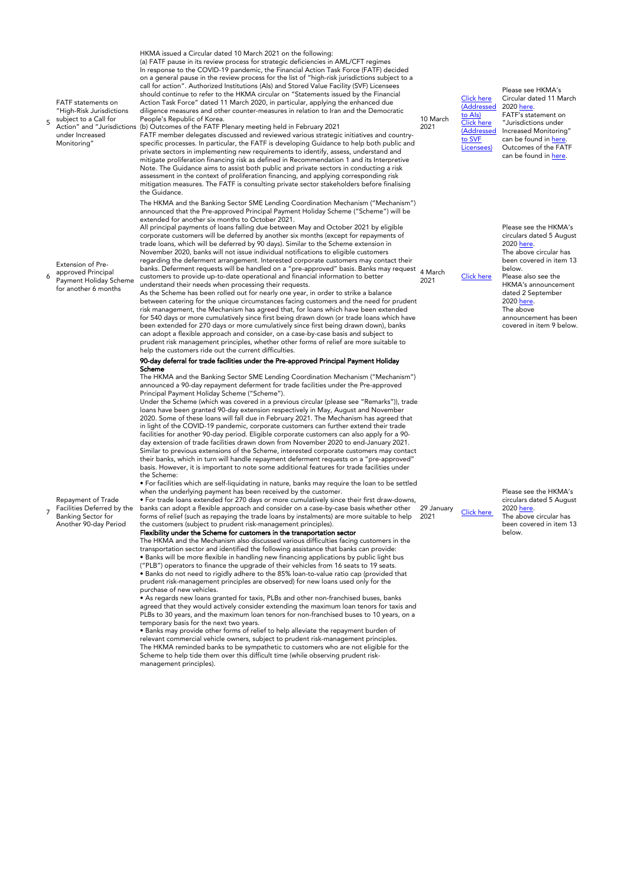5 FATF statements on "High-Risk Jurisdictions subject to a Call for Action" and "Jurisdictions under Increased

Monitoring"

Extension of Preapproved Principal

7

Repayment of Trade Facilities Deferred by the Banking Sector for Another 90-day Period

6 Payment Holiday Scheme for another 6 months

HKMA issued a Circular dated 10 March 2021 on the following: (a) FATF pause in its review process for strategic deficiencies in AML/CFT regimes In response to the COVID-19 pandemic, the Financial Action Task Force (FATF) decided on a general pause in the review process for the list of "high-risk jurisdictions subject to a call for action". Authorized Institutions (AIs) and Stored Value Facility (SVF) Licensees should continue to refer to the HKMA circular on "Statements issued by the Financial Action Task Force" dated 11 March 2020, in particular, applying the enhanced due diligence measures and other counter-measures in relation to Iran and the Democratic People's Republic of Korea. (b) Outcomes of the FATF Plenary meeting held in February 2021

FATF member delegates discussed and reviewed various strategic initiatives and countryspecific processes. In particular, the FATF is developing Guidance to help both public and private sectors in implementing new requirements to identify, assess, understand and mitigate proliferation financing risk as defined in Recommendation 1 and its Interpretive Note. The Guidance aims to assist both public and private sectors in conducting a risk assessment in the context of proliferation financing, and applying corresponding risk mitigation measures. The FATF is consulting private sector stakeholders before finalising the Guidance.

The HKMA and the Banking Sector SME Lending Coordination Mechanism ("Mechanism") announced that the Pre-approved Principal Payment Holiday Scheme ("Scheme") will be extended for another six months to October 2021.

All principal payments of loans falling due between May and October 2021 by eligible corporate customers will be deferred by another six months (except for repayments of trade loans, which will be deferred by 90 days). Similar to the Scheme extension in November 2020, banks will not issue individual notifications to eligible customers regarding the deferment arrangement. Interested corporate customers may contact their banks. Deferment requests will be handled on a "pre-approved" basis. Banks may request customers to provide up-to-date operational and financial information to better understand their needs when processing their requests. 4 March<br>2021

As the Scheme has been rolled out for nearly one year, in order to strike a balance between catering for the unique circumstances facing customers and the need for prudent risk management, the Mechanism has agreed that, for loans which have been extended for 540 days or more cumulatively since first being drawn down (or trade loans which have been extended for 270 days or more cumulatively since first being drawn down), banks can adopt a flexible approach and consider, on a case-by-case basis and subject to prudent risk management principles, whether other forms of relief are more suitable to help the customers ride out the current difficulties.

#### 90-day deferral for trade facilities under the Pre-approved Principal Payment Holiday Scheme

The HKMA and the Banking Sector SME Lending Coordination Mechanism ("Mechanism") announced a 90-day repayment deferment for trade facilities under the Pre-approved Principal Payment Holiday Scheme ("Scheme").

Under the Scheme (which was covered in a previous circular (please see "Remarks")), trade loans have been granted 90-day extension respectively in May, August and November 2020. Some of these loans will fall due in February 2021. The Mechanism has agreed that in light of the COVID-19 pandemic, corporate customers can further extend their trade facilities for another 90-day period. Eligible corporate customers can also apply for a 90 day extension of trade facilities drawn down from November 2020 to end-January 2021. Similar to previous extensions of the Scheme, interested corporate customers may contact their banks, which in turn will handle repayment deferment requests on a "pre-approved" basis. However, it is important to note some additional features for trade facilities under the Scheme:

• For facilities which are self-liquidating in nature, banks may require the loan to be settled when the underlying payment has been received by the customer. • For trade loans extended for 270 days or more cumulatively since their first draw-downs,

banks can adopt a flexible approach and consider on a case-by-case basis whether other forms of relief (such as repaying the trade loans by instalments) are more suitable to help the customers (subject to prudent risk-management principles).

#### Flexibility under the Scheme for customers in the transportation sector

The HKMA and the Mechanism also discussed various difficulties facing customers in the transportation sector and identified the following assistance that banks can provide: • Banks will be more flexible in handling new financing applications by public light bus ("PLB") operators to finance the upgrade of their vehicles from 16 seats to 19 seats. • Banks do not need to rigidly adhere to the 85% loan-to-value ratio cap (provided that prudent risk-management principles are observed) for new loans used only for the purchase of new vehicles.

• As regards new loans granted for taxis, PLBs and other non-franchised buses, banks agreed that they would actively consider extending the maximum loan tenors for taxis and PLBs to 30 years, and the maximum loan tenors for non-franchised buses to 10 years, on a temporary basis for the next two years.

• Banks may provide other forms of relief to help alleviate the repayment burden of relevant commercial vehicle owners, subject to prudent risk-management principles. The HKMA reminded banks to be sympathetic to customers who are not eligible for the Scheme to help tide them over this difficult time (while observing prudent riskmanagement principles).

#### 10 March 2021 [Click here](https://www.hkma.gov.hk/media/eng/doc/key-information/guidelines-and-circular/2021/20210310e1.pdf) [\(Addressed](https://www.hkma.gov.hk/media/eng/doc/key-information/guidelines-and-circular/2021/20210310e1.pdf) [to AIs\)](https://www.hkma.gov.hk/media/eng/doc/key-information/guidelines-and-circular/2021/20210310e1.pdf) [Click here](https://www.hkma.gov.hk/media/eng/doc/key-information/guidelines-and-circular/2021/20210310e2.pdf) [\(Addressed](https://www.hkma.gov.hk/media/eng/doc/key-information/guidelines-and-circular/2021/20210310e2.pdf) [to SVF](https://www.hkma.gov.hk/media/eng/doc/key-information/guidelines-and-circular/2021/20210310e2.pdf) [Licensees\)](https://www.hkma.gov.hk/media/eng/doc/key-information/guidelines-and-circular/2021/20210310e2.pdf)

[Click here](https://www.hkma.gov.hk/eng/news-and-media/press-releases/2021/03/20210304-5/)

Please see HKMA's Circular dated 11 March 2020 [here](https://www.hkma.gov.hk/media/eng/doc/key-information/guidelines-and-circular/2020/20200311e1.pdf). FATF's statement on "Jurisdictions under Increased Monitoring" can be found in [here](https://www.fatf-gafi.org/publications/high-risk-and-other-monitored-jurisdictions/documents/increased-monitoring-february-2021.html) Outcomes of the FATF can be found in [here](https://www.fatf-gafi.org/publications/fatfgeneral/documents/outcomes-fatf-plenary-february-2021.html).

Please see the HKMA's circulars dated 5 August 2020 [here](https://www.hkma.gov.hk/media/eng/doc/key-information/guidelines-and-circular/2020/20200805e1.pdf). The above circular has been covered in item 13 below. Please also see the HKMA's announcement dated 2 September 2020 [here](https://www.hkma.gov.hk/eng/news-and-media/press-releases/2020/09/20200902-5/). The above announcement has been covered in item 9 below.

29 January Click here Please see the HKMA's circulars dated 5 August 2020 [here](https://www.hkma.gov.hk/media/eng/doc/key-information/guidelines-and-circular/2020/20200805e1.pdf). The above circular has been covered in item 13 below.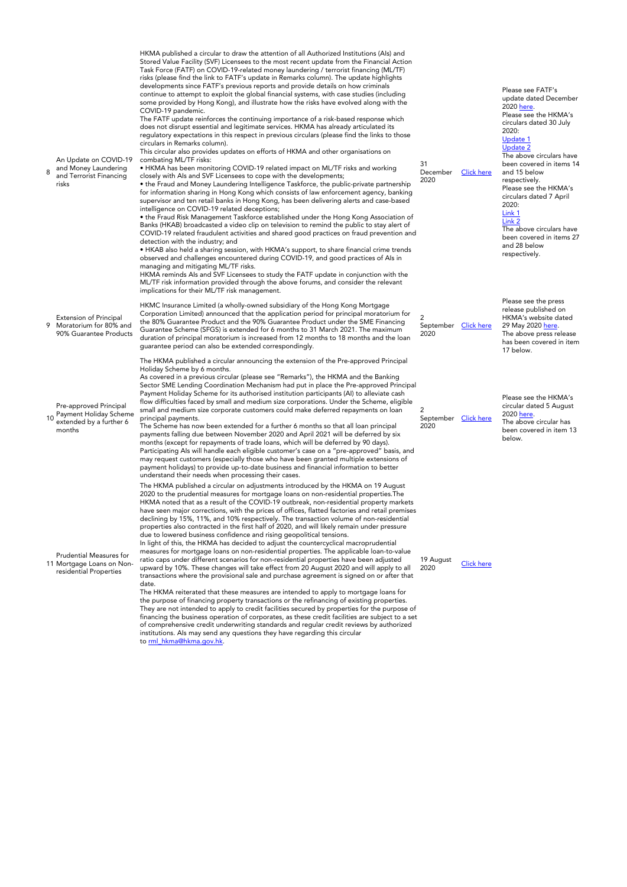|   | An Update on COVID-19<br>and Money Laundering<br>and Terrorist Financing<br>risks     | HKMA published a circular to draw the attention of all Authorized Institutions (AIs) and<br>Stored Value Facility (SVF) Licensees to the most recent update from the Financial Action<br>Task Force (FATF) on COVID-19-related money laundering / terrorist financing (ML/TF)<br>risks (please find the link to FATF's update in Remarks column). The update highlights<br>developments since FATF's previous reports and provide details on how criminals<br>continue to attempt to exploit the global financial systems, with case studies (including<br>some provided by Hong Kong), and illustrate how the risks have evolved along with the<br>COVID-19 pandemic.<br>The FATF update reinforces the continuing importance of a risk-based response which<br>does not disrupt essential and legitimate services. HKMA has already articulated its<br>regulatory expectations in this respect in previous circulars (please find the links to those<br>circulars in Remarks column).<br>This circular also provides updates on efforts of HKMA and other organisations on<br>combating ML/TF risks:<br>• HKMA has been monitoring COVID-19 related impact on ML/TF risks and working<br>closely with Als and SVF Licensees to cope with the developments;<br>• the Fraud and Money Laundering Intelligence Taskforce, the public-private partnership<br>for information sharing in Hong Kong which consists of law enforcement agency, banking<br>supervisor and ten retail banks in Hong Kong, has been delivering alerts and case-based<br>intelligence on COVID-19 related deceptions;<br>• the Fraud Risk Management Taskforce established under the Hong Kong Association of<br>Banks (HKAB) broadcasted a video clip on television to remind the public to stay alert of<br>COVID-19 related fraudulent activities and shared good practices on fraud prevention and<br>detection with the industry; and<br>• HKAB also held a sharing session, with HKMA's support, to share financial crime trends<br>observed and challenges encountered during COVID-19, and good practices of Als in<br>managing and mitigating ML/TF risks.<br>HKMA reminds Als and SVF Licensees to study the FATF update in conjunction with the<br>ML/TF risk information provided through the above forums, and consider the relevant<br>implications for their ML/TF risk management. | 31<br>December<br>2020                         | <b>Click here</b> | Please see FATF's<br>update dated December<br>2020 here.<br>Please see the HKMA's<br>circulars dated 30 July<br>2020:<br>Update 1<br><b>Update 2</b><br>The above circulars have<br>been covered in items 14<br>and 15 below<br>respectively.<br>Please see the HKMA's<br>circulars dated 7 April<br>2020:<br>Link 1<br>Link 2<br>The above circulars have<br>been covered in items 27<br>and 28 below<br>respectively. |
|---|---------------------------------------------------------------------------------------|---------------------------------------------------------------------------------------------------------------------------------------------------------------------------------------------------------------------------------------------------------------------------------------------------------------------------------------------------------------------------------------------------------------------------------------------------------------------------------------------------------------------------------------------------------------------------------------------------------------------------------------------------------------------------------------------------------------------------------------------------------------------------------------------------------------------------------------------------------------------------------------------------------------------------------------------------------------------------------------------------------------------------------------------------------------------------------------------------------------------------------------------------------------------------------------------------------------------------------------------------------------------------------------------------------------------------------------------------------------------------------------------------------------------------------------------------------------------------------------------------------------------------------------------------------------------------------------------------------------------------------------------------------------------------------------------------------------------------------------------------------------------------------------------------------------------------------------------------------------------------------------------------------------------------------------------------------------------------------------------------------------------------------------------------------------------------------------------------------------------------------------------------------------------------------------------------------------------------------------------------------------------------------------------------------------------------------------------------------------------------|------------------------------------------------|-------------------|-------------------------------------------------------------------------------------------------------------------------------------------------------------------------------------------------------------------------------------------------------------------------------------------------------------------------------------------------------------------------------------------------------------------------|
| 9 | Extension of Principal<br>Moratorium for 80% and<br>90% Guarantee Products            | HKMC Insurance Limited (a wholly-owned subsidiary of the Hong Kong Mortgage<br>Corporation Limited) announced that the application period for principal moratorium for<br>the 80% Guarantee Product and the 90% Guarantee Product under the SME Financing<br>Guarantee Scheme (SFGS) is extended for 6 months to 31 March 2021. The maximum<br>duration of principal moratorium is increased from 12 months to 18 months and the loan<br>guarantee period can also be extended correspondingly.                                                                                                                                                                                                                                                                                                                                                                                                                                                                                                                                                                                                                                                                                                                                                                                                                                                                                                                                                                                                                                                                                                                                                                                                                                                                                                                                                                                                                                                                                                                                                                                                                                                                                                                                                                                                                                                                           | $\overline{2}$<br>September Click here<br>2020 |                   | Please see the press<br>release published on<br>HKMA's website dated<br>29 May 2020 here.<br>The above press release<br>has been covered in item<br>17 below.                                                                                                                                                                                                                                                           |
|   | Pre-approved Principal<br>Payment Holiday Scheme<br>extended by a further 6<br>months | The HKMA published a circular announcing the extension of the Pre-approved Principal<br>Holiday Scheme by 6 months.<br>As covered in a previous circular (please see "Remarks"), the HKMA and the Banking<br>Sector SME Lending Coordination Mechanism had put in place the Pre-approved Principal<br>Payment Holiday Scheme for its authorised institution participants (AI) to alleviate cash<br>flow difficulties faced by small and medium size corporations. Under the Scheme, eligible<br>small and medium size corporate customers could make deferred repayments on loan<br>principal payments.<br>The Scheme has now been extended for a further 6 months so that all loan principal<br>payments falling due between November 2020 and April 2021 will be deferred by six<br>months (except for repayments of trade loans, which will be deferred by 90 days).<br>Participating Als will handle each eligible customer's case on a "pre-approved" basis, and<br>may request customers (especially those who have been granted multiple extensions of<br>payment holidays) to provide up-to-date business and financial information to better                                                                                                                                                                                                                                                                                                                                                                                                                                                                                                                                                                                                                                                                                                                                                                                                                                                                                                                                                                                                                                                                                                                                                                                                                     | 2<br>September Click here<br>2020              |                   | Please see the HKMA's<br>circular dated 5 August<br>2020 here.<br>The above circular has<br>been covered in item 13<br>below.                                                                                                                                                                                                                                                                                           |
|   | Prudential Measures for<br>11 Mortgage Loans on Non-<br>residential Properties        | understand their needs when processing their cases.<br>The HKMA published a circular on adjustments introduced by the HKMA on 19 August<br>2020 to the prudential measures for mortgage loans on non-residential properties. The<br>HKMA noted that as a result of the COVID-19 outbreak, non-residential property markets<br>have seen major corrections, with the prices of offices, flatted factories and retail premises<br>declining by 15%, 11%, and 10% respectively. The transaction volume of non-residential<br>properties also contracted in the first half of 2020, and will likely remain under pressure<br>due to lowered business confidence and rising geopolitical tensions.<br>In light of this, the HKMA has decided to adjust the countercyclical macroprudential<br>measures for mortgage loans on non-residential properties. The applicable loan-to-value<br>ratio caps under different scenarios for non-residential properties have been adjusted<br>upward by 10%. These changes will take effect from 20 August 2020 and will apply to all<br>transactions where the provisional sale and purchase agreement is signed on or after that<br>date.<br>The HKMA reiterated that these measures are intended to apply to mortgage loans for<br>the purpose of financing property transactions or the refinancing of existing properties.<br>They are not intended to apply to credit facilities secured by properties for the purpose of<br>financing the business operation of corporates, as these credit facilities are subject to a set<br>of comprehensive credit underwriting standards and regular credit reviews by authorized<br>institutions. Als may send any questions they have regarding this circular<br>to rml_hkma@hkma.gov.hk.                                                                                                                                                                                                                                                                                                                                                                                                                                                                                                                                                                                                   | 19 August<br>2020                              | <b>Click here</b> |                                                                                                                                                                                                                                                                                                                                                                                                                         |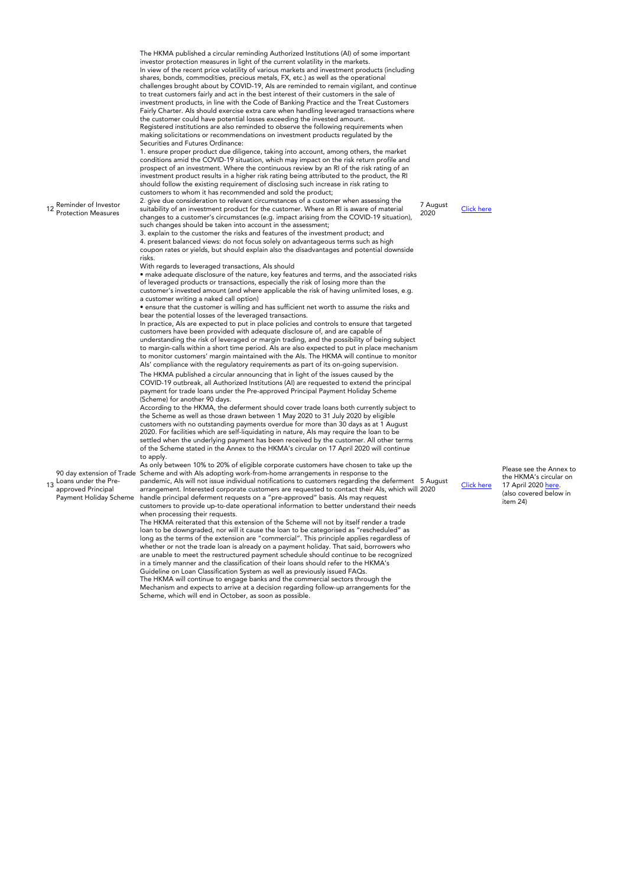12 Reminder of Investor Protection Measures The HKMA published a circular reminding Authorized Institutions (AI) of some important investor protection measures in light of the current volatility in the markets. In view of the recent price volatility of various markets and investment products (including shares, bonds, commodities, precious metals, FX, etc.) as well as the operational challenges brought about by COVID-19, Als are reminded to remain vigilant, and continue to treat customers fairly and act in the best interest of their customers in the sale of investment products, in line with the Code of Banking Practice and the Treat Customers Fairly Charter. AIs should exercise extra care when handling leveraged transactions where the customer could have potential losses exceeding the invested amount. Registered institutions are also reminded to observe the following requirements when making solicitations or recommendations on investment products regulated by the Securities and Futures Ordinance: 1. ensure proper product due diligence, taking into account, among others, the market conditions amid the COVID-19 situation, which may impact on the risk return profile and prospect of an investment. Where the continuous review by an RI of the risk rating of an investment product results in a higher risk rating being attributed to the product, the RI should follow the existing requirement of disclosing such increase in risk rating to customers to whom it has recommended and sold the product; 2. give due consideration to relevant circumstances of a customer when assessing the suitability of an investment product for the customer. Where an RI is aware of material changes to a customer's circumstances (e.g. impact arising from the COVID-19 situation), such changes should be taken into account in the assessment; 3. explain to the customer the risks and features of the investment product; and 4. present balanced views: do not focus solely on advantageous terms such as high coupon rates or yields, but should explain also the disadvantages and potential downside risks. With regards to leveraged transactions, AIs should • make adequate disclosure of the nature, key features and terms, and the associated risks of leveraged products or transactions, especially the risk of losing more than the customer's invested amount (and where applicable the risk of having unlimited loses, e.g. a customer writing a naked call option) • ensure that the customer is willing and has sufficient net worth to assume the risks and bear the potential losses of the leveraged transactions. In practice, AIs are expected to put in place policies and controls to ensure that targeted customers have been provided with adequate disclosure of, and are capable of understanding the risk of leveraged or margin trading, and the possibility of being subject to margin-calls within a short time period. AIs are also expected to put in place mechanism to monitor customers' margin maintained with the AIs. The HKMA will continue to monitor AIs' compliance with the regulatory requirements as part of its on-going supervision. 7 August 13 90 day extension of Trade Loans under the Preapproved Principal Payment Holiday Scheme The HKMA published a circular announcing that in light of the issues caused by the COVID-19 outbreak, all Authorized Institutions (AI) are requested to extend the principal payment for trade loans under the Pre-approved Principal Payment Holiday Scheme (Scheme) for another 90 days. According to the HKMA, the deferment should cover trade loans both currently subject to the Scheme as well as those drawn between 1 May 2020 to 31 July 2020 by eligible customers with no outstanding payments overdue for more than 30 days as at 1 August 2020. For facilities which are self-liquidating in nature, AIs may require the loan to be settled when the underlying payment has been received by the customer. All other terms of the Scheme stated in the Annex to the HKMA's circular on 17 April 2020 will continue to apply. As only between 10% to 20% of eligible corporate customers have chosen to take up the Scheme and with AIs adopting work-from-home arrangements in response to the pandemic, AIs will not issue individual notifications to customers regarding the deferment 5 August arrangement. Interested corporate customers are requested to contact their AIs, which will handle principal deferment requests on a "pre-approved" basis. AIs may request customers to provide up-to-date operational information to better understand their needs when processing their requests. The HKMA reiterated that this extension of the Scheme will not by itself render a trade loan to be downgraded, nor will it cause the loan to be categorised as "rescheduled" as long as the terms of the extension are "commercial". This principle applies regardless of whether or not the trade loan is already on a payment holiday. That said, borrowers who are unable to meet the restructured payment schedule should continue to be recognized

in a timely manner and the classification of their loans should refer to the HKMA's Guideline on Loan Classification System as well as previously issued FAQs. The HKMA will continue to engage banks and the commercial sectors through the Mechanism and expects to arrive at a decision regarding follow-up arrangements for the

Scheme, which will end in October, as soon as possible.

Please see the Annex to the HKMA's circular on 17 April 2020 [here.](https://www.hkma.gov.hk/media/eng/doc/key-information/guidelines-and-circular/2020/20200417e1a1.pdf) (also covered below in item 24)

[Click here](https://www.hkma.gov.hk/media/eng/doc/key-information/guidelines-and-circular/2020/20200807e1.pdf)

**[Click here](https://www.hkma.gov.hk/media/eng/doc/key-information/guidelines-and-circular/2020/20200805e1.pdf)**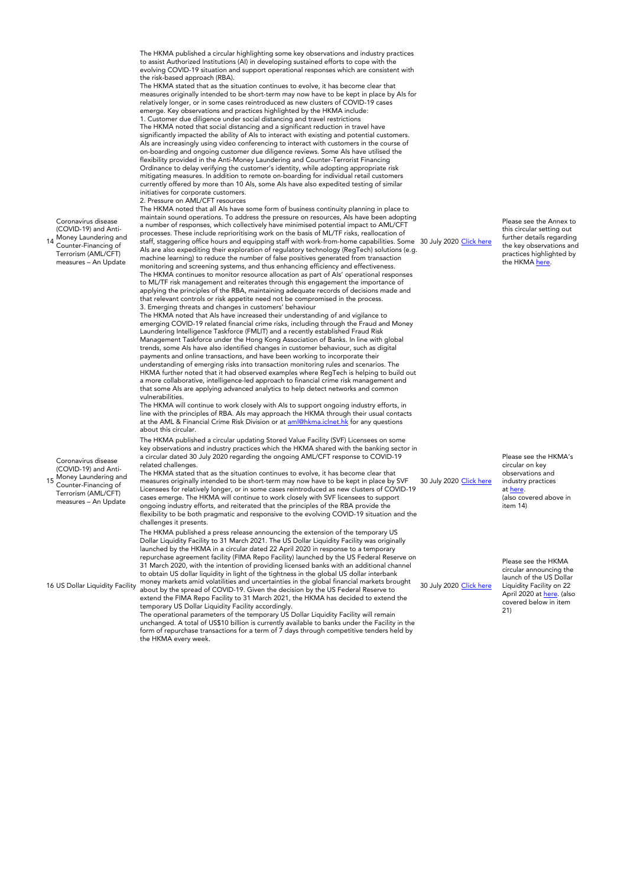Coronavirus disease  $(CONID-19)$  and Anti-Money Laundering and Counter-Financing of Terrorism (AML/CFT) measures – An Update The HKMA published a circular highlighting some key observations and industry practices to assist Authorized Institutions (AI) in developing sustained efforts to cope with the evolving COVID-19 situation and support operational responses which are consistent with the risk-based approach (RBA). The HKMA stated that as the situation continues to evolve, it has become clear that measures originally intended to be short-term may now have to be kept in place by AIs for relatively longer, or in some cases reintroduced as new clusters of COVID-19 cases emerge. Key observations and practices highlighted by the HKMA include: 1. Customer due diligence under social distancing and travel restrictions The HKMA noted that social distancing and a significant reduction in travel have significantly impacted the ability of AIs to interact with existing and potential customers. AIs are increasingly using video conferencing to interact with customers in the course of on-boarding and ongoing customer due diligence reviews. Some AIs have utilised the flexibility provided in the Anti-Money Laundering and Counter-Terrorist Financing Ordinance to delay verifying the customer's identity, while adopting appropriate risk mitigating measures. In addition to remote on-boarding for individual retail customers currently offered by more than 10 AIs, some AIs have also expedited testing of similar initiatives for corporate customers. 2. Pressure on AML/CFT resources The HKMA noted that all AIs have some form of business continuity planning in place to maintain sound operations. To address the pressure on resources, AIs have been adopting a number of responses, which collectively have minimised potential impact to AML/CFT processes. These include reprioritising work on the basis of ML/TF risks, reallocation of staff, staggering office hours and equipping staff with work-from-home capabilities. Some  $\,$  30 July 2020 <u>[Click here](https://www.hkma.gov.hk/media/eng/doc/key-information/guidelines-and-circular/2020/20200730e1.pdf)</u> AIs are also expediting their exploration of regulatory technology (RegTech) solutions (e.g. machine learning) to reduce the number of false positives generated from transaction monitoring and screening systems, and thus enhancing efficiency and effectiveness. The HKMA continues to monitor resource allocation as part of AIs' operational responses to ML/TF risk management and reiterates through this engagement the importance of applying the principles of the RBA, maintaining adequate records of decisions made and that relevant controls or risk appetite need not be compromised in the process. 3. Emerging threats and changes in customers' behaviour The HKMA noted that AIs have increased their understanding of and vigilance to emerging COVID-19 related financial crime risks, including through the Fraud and Money Laundering Intelligence Taskforce (FMLIT) and a recently established Fraud Risk Management Taskforce under the Hong Kong Association of Banks. In line with global trends, some AIs have also identified changes in customer behaviour, such as digital payments and online transactions, and have been working to incorporate their understanding of emerging risks into transaction monitoring rules and scenarios. The HKMA further noted that it had observed examples where RegTech is helping to build out a more collaborative, intelligence-led approach to financial crime risk management and that some AIs are applying advanced analytics to help detect networks and common vulnerabilities. The HKMA will continue to work closely with AIs to support ongoing industry efforts, in line with the principles of RBA. AIs may approach the HKMA through their usual contacts at the AML & Financial Crime Risk Division or at [aml@hkma.iclnet.hk](http://mailto:aml@hkma.iclnet.hk/) for any questions about this circular. Please see the Annex to this circular setting out further details regarding the key observations and practices highlighted by the HKMA [here](https://www.hkma.gov.hk/media/eng/doc/key-information/guidelines-and-circular/2020/20200730e1a1.pdf). Coronavirus disease (COVID-19) and Anti-Money Laundering and Counter-Financing of Terrorism (AML/CFT) measures – An Update The HKMA published a circular updating Stored Value Facility (SVF) Licensees on some key observations and industry practices which the HKMA shared with the banking sector in a circular dated 30 July 2020 regarding the ongoing AML/CFT response to COVID-19 related challenges. The HKMA stated that as the situation continues to evolve, it has become clear that measures originally intended to be short-term may now have to be kept in place by SVF Licensees for relatively longer, or in some cases reintroduced as new clusters of COVID-19 cases emerge. The HKMA will continue to work closely with SVF licensees to support ongoing industry efforts, and reiterated that the principles of the RBA provide the flexibility to be both pragmatic and responsive to the evolving COVID-19 situation and the challenges it presents. 30 July 2020 [Click here](https://www.hkma.gov.hk/media/eng/doc/key-information/guidelines-and-circular/2020/20200730e2.pdf) Please see the HKMA's circular on key observations and industry practices at [here.](https://www.hkma.gov.hk/media/eng/doc/key-information/guidelines-and-circular/2020/20200730e1.pdf) (also covered above in item 14) 16 US Dollar Liquidity Facility The HKMA published a press release announcing the extension of the temporary US Dollar Liquidity Facility to 31 March 2021. The US Dollar Liquidity Facility was originally launched by the HKMA in a circular dated 22 April 2020 in response to a temporary repurchase agreement facility (FIMA Repo Facility) launched by the US Federal Reserve on 31 March 2020, with the intention of providing licensed banks with an additional channel to obtain US dollar liquidity in light of the tightness in the global US dollar interbank money markets amid volatilities and uncertainties in the global financial markets brought about by the spread of COVID-19. Given the decision by the US Federal Reserve to extend the FIMA Repo Facility to 31 March 2021, the HKMA has decided to extend the temporary US Dollar Liquidity Facility accordingly. The operational parameters of the temporary US Dollar Liquidity Facility will remain unchanged. A total of US\$10 billion is currently available to banks under the Facility in the form of repurchase transactions for a term of 7 days through competitive tenders held by 30 July 2020 [Click here](https://www.hkma.gov.hk/eng/news-and-media/press-releases/2020/07/20200730-3/) Please see the HKMA circular announcing the launch of the US Dollar Liquidity Facility on 22 April 2020 at [here](https://www.hkma.gov.hk/media/eng/doc/key-information/guidelines-and-circular/2020/20200422e1.pdf). (also covered below in item  $21)$ 

14

15

the HKMA every week.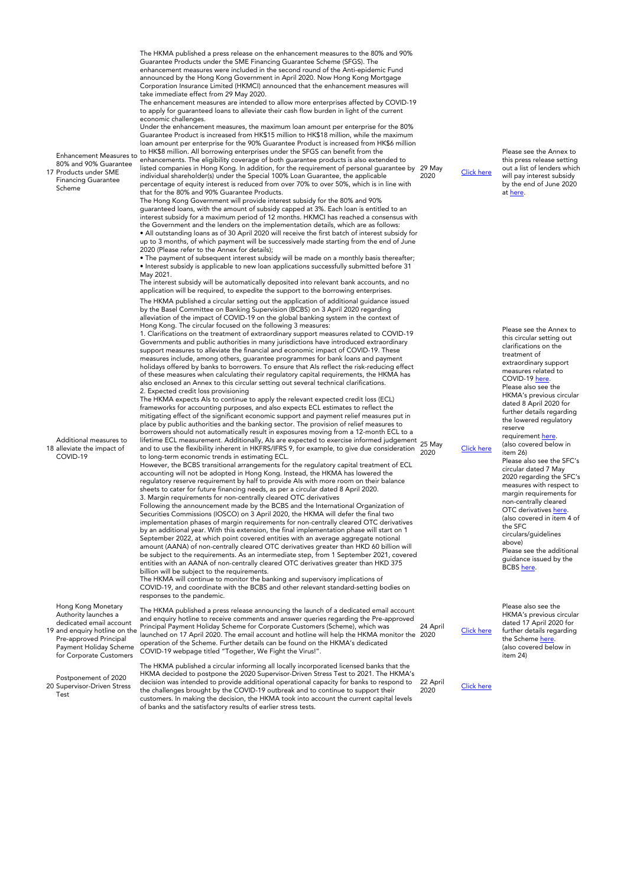| <b>Enhancement Measures to</b><br>80% and 90% Guarantee<br>17 Products under SME<br><b>Financing Guarantee</b><br>Scheme                                                              | The HKMA published a press release on the enhancement measures to the 80% and 90%<br>Guarantee Products under the SME Financing Guarantee Scheme (SFGS). The<br>enhancement measures were included in the second round of the Anti-epidemic Fund<br>announced by the Hong Kong Government in April 2020. Now Hong Kong Mortgage<br>Corporation Insurance Limited (HKMCI) announced that the enhancement measures will<br>take immediate effect from 29 May 2020.<br>The enhancement measures are intended to allow more enterprises affected by COVID-19<br>to apply for guaranteed loans to alleviate their cash flow burden in light of the current<br>economic challenges.<br>Under the enhancement measures, the maximum loan amount per enterprise for the 80%<br>Guarantee Product is increased from HK\$15 million to HK\$18 million, while the maximum<br>loan amount per enterprise for the 90% Guarantee Product is increased from HK\$6 million<br>to HK\$8 million. All borrowing enterprises under the SFGS can benefit from the<br>enhancements. The eligibility coverage of both guarantee products is also extended to<br>listed companies in Hong Kong. In addition, for the requirement of personal guarantee by 29 May<br>individual shareholder(s) under the Special 100% Loan Guarantee, the applicable<br>percentage of equity interest is reduced from over 70% to over 50%, which is in line with<br>that for the 80% and 90% Guarantee Products.<br>The Hong Kong Government will provide interest subsidy for the 80% and 90%<br>guaranteed loans, with the amount of subsidy capped at 3%. Each loan is entitled to an<br>interest subsidy for a maximum period of 12 months. HKMCI has reached a consensus with<br>the Government and the lenders on the implementation details, which are as follows:<br>• All outstanding loans as of 30 April 2020 will receive the first batch of interest subsidy for<br>up to 3 months, of which payment will be successively made starting from the end of June<br>2020 (Please refer to the Annex for details);<br>• The payment of subsequent interest subsidy will be made on a monthly basis thereafter;<br>• Interest subsidy is applicable to new loan applications successfully submitted before 31<br>May 2021.                                                                                                                                                                                                                                                                                                                                                                                                                                                                                                                                                                                                                                                                                                                                                                                                                                                                                                                                                                                                                                                              | 2020     |
|---------------------------------------------------------------------------------------------------------------------------------------------------------------------------------------|---------------------------------------------------------------------------------------------------------------------------------------------------------------------------------------------------------------------------------------------------------------------------------------------------------------------------------------------------------------------------------------------------------------------------------------------------------------------------------------------------------------------------------------------------------------------------------------------------------------------------------------------------------------------------------------------------------------------------------------------------------------------------------------------------------------------------------------------------------------------------------------------------------------------------------------------------------------------------------------------------------------------------------------------------------------------------------------------------------------------------------------------------------------------------------------------------------------------------------------------------------------------------------------------------------------------------------------------------------------------------------------------------------------------------------------------------------------------------------------------------------------------------------------------------------------------------------------------------------------------------------------------------------------------------------------------------------------------------------------------------------------------------------------------------------------------------------------------------------------------------------------------------------------------------------------------------------------------------------------------------------------------------------------------------------------------------------------------------------------------------------------------------------------------------------------------------------------------------------------------------------------------------------------------------------------------------------------------------------------------------------------------------------------------------------------------------------------------------------------------------------------------------------------------------------------------------------------------------------------------------------------------------------------------------------------------------------------------------------------------------------------------------------------------------------------------------------------------------------------------------------------------------------------------------------------------------------------------------------------------------------------------------------------------------------------------------------------------------------------------------------------------------------------------------------------------------------------------------------------------------------------------------------------------------------------------------------------------------------|----------|
| Additional measures to<br>18 alleviate the impact of<br>COVID-19                                                                                                                      | The interest subsidy will be automatically deposited into relevant bank accounts, and no<br>application will be required, to expedite the support to the borrowing enterprises.<br>The HKMA published a circular setting out the application of additional guidance issued<br>by the Basel Committee on Banking Supervision (BCBS) on 3 April 2020 regarding<br>alleviation of the impact of COVID-19 on the global banking system in the context of<br>Hong Kong. The circular focused on the following 3 measures:<br>1. Clarifications on the treatment of extraordinary support measures related to COVID-19<br>Governments and public authorities in many jurisdictions have introduced extraordinary<br>support measures to alleviate the financial and economic impact of COVID-19. These<br>measures include, among others, guarantee programmes for bank loans and payment<br>holidays offered by banks to borrowers. To ensure that AIs reflect the risk-reducing effect<br>of these measures when calculating their regulatory capital requirements, the HKMA has<br>also enclosed an Annex to this circular setting out several technical clarifications.<br>2. Expected credit loss provisioning<br>The HKMA expects Als to continue to apply the relevant expected credit loss (ECL)<br>frameworks for accounting purposes, and also expects ECL estimates to reflect the<br>mitigating effect of the significant economic support and payment relief measures put in<br>place by public authorities and the banking sector. The provision of relief measures to<br>borrowers should not automatically result in exposures moving from a 12-month ECL to a<br>lifetime ECL measurement. Additionally, Als are expected to exercise informed judgement 25 May<br>and to use the flexibility inherent in HKFRS/IFRS 9, for example, to give due consideration<br>to long-term economic trends in estimating ECL.<br>However, the BCBS transitional arrangements for the regulatory capital treatment of ECL<br>accounting will not be adopted in Hong Kong. Instead, the HKMA has lowered the<br>regulatory reserve requirement by half to provide Als with more room on their balance<br>sheets to cater for future financing needs, as per a circular dated 8 April 2020.<br>3. Margin requirements for non-centrally cleared OTC derivatives<br>Following the announcement made by the BCBS and the International Organization of<br>Securities Commissions (IOSCO) on 3 April 2020, the HKMA will defer the final two<br>implementation phases of margin requirements for non-centrally cleared OTC derivatives<br>by an additional year. With this extension, the final implementation phase will start on 1<br>September 2022, at which point covered entities with an average aggregate notional<br>amount (AANA) of non-centrally cleared OTC derivatives greater than HKD 60 billion will<br>be subject to the requirements. As an intermediate step, from 1 September 2021, covered<br>entities with an AANA of non-centrally cleared OTC derivatives greater than HKD 375<br>billion will be subject to the requirements.<br>The HKMA will continue to monitor the banking and supervisory implications of<br>COVID-19, and coordinate with the BCBS and other relevant standard-setting bodies on<br>responses to the pandemic. | 2020     |
| Hong Kong Monetary<br>Authority launches a<br>dedicated email account<br>19 and enquiry hotline on the<br>Pre-approved Principal<br>Payment Holiday Scheme<br>for Corporate Customers | The HKMA published a press release announcing the launch of a dedicated email account<br>and enquiry hotline to receive comments and answer queries regarding the Pre-approved<br>Principal Payment Holiday Scheme for Corporate Customers (Scheme), which was<br>launched on 17 April 2020. The email account and hotline will help the HKMA monitor the 2020<br>operation of the Scheme. Further details can be found on the HKMA's dedicated<br>COVID-19 webpage titled "Together, We Fight the Virus!".<br>The HKMA published a circular informing all locally incorporated licensed banks that the<br>HKMA decided to postpone the 2020 Supervisor-Driven Stress Test to 2021 The HKMA's                                                                                                                                                                                                                                                                                                                                                                                                                                                                                                                                                                                                                                                                                                                                                                                                                                                                                                                                                                                                                                                                                                                                                                                                                                                                                                                                                                                                                                                                                                                                                                                                                                                                                                                                                                                                                                                                                                                                                                                                                                                                                                                                                                                                                                                                                                                                                                                                                                                                                                                                                                                                                                                           | 24 April |

20 Postponement of 2020 Supervisor-Driven Stress Test

HKMA decided to postpone the 2020 Supervisor-Driven Stress Test to 2021. The HKMA's<br>decision was intended to provide additional operational capacity for banks to respond to<br>the challenges brought by the COVID-19 outbreak a 22 April<br>2020 Please see the Annex to this press release setting out a list of lenders which will pay interest subsidy by the end of June 2020 at [here.](https://www.hkma.gov.hk/media/eng/doc/key-information/press-release/2020/20200529e8a1.pdf)

[Click here](https://www.hkma.gov.hk/eng/news-and-media/press-releases/2020/05/20200529-8/)

Please see the Annex to this circular setting out clarifications on the treatment of extraordinary support measures related to COVID-19 [here.](https://www.hkma.gov.hk/media/eng/doc/key-information/guidelines-and-circular/2020/20200525e1a1.pdf) Please also see the HKMA's previous circular dated 8 April 2020 for further details regarding the lowered regulatory reserve requirement <u>here</u>.<br>(also covered below in item 26) Please also see the SFC's circular dated 7 May 2020 regarding the SFC's measures with respect to margin requirements for non-centrally cleared OTC derivatives <u>here</u>.<br>(also covered in item 4 of the SFC circulars/guidelines above) Please see the additional guidance issued by the<br>BCBS <u>here</u>.

Please also see the HKMA's previous circular dated 17 April 2020 for further details regarding the Scheme <u>here</u>.<br>(also covered below in item 24)

[Click here](https://www.hkma.gov.hk/media/eng/doc/key-information/guidelines-and-circular/2020/20200422e2.pdf)

[Click here](https://www.hkma.gov.hk/eng/news-and-media/press-releases/2020/04/20200424-3/)

[Click here](https://www.hkma.gov.hk/media/eng/doc/key-information/guidelines-and-circular/2020/20200525e1.pdf)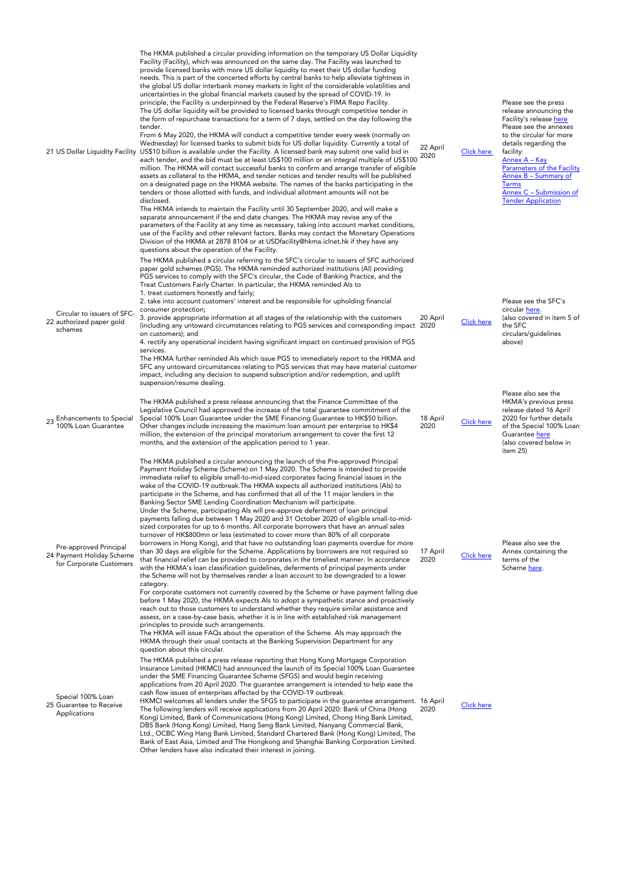| 21 US Dollar Liquidity Facility                                                | The HKMA published a circular providing information on the temporary US Dollar Liquidity<br>Facility (Facility), which was announced on the same day. The Facility was launched to<br>provide licensed banks with more US dollar liquidity to meet their US dollar funding<br>needs. This is part of the concerted efforts by central banks to help alleviate tightness in<br>the global US dollar interbank money markets in light of the considerable volatilities and<br>uncertainties in the global financial markets caused by the spread of COVID-19. In<br>principle, the Facility is underpinned by the Federal Reserve's FIMA Repo Facility.<br>The US dollar liquidity will be provided to licensed banks through competitive tender in<br>the form of repurchase transactions for a term of 7 days, settled on the day following the<br>tender.<br>From 6 May 2020, the HKMA will conduct a competitive tender every week (normally on<br>Wednesday) for licensed banks to submit bids for US dollar liquidity. Currently a total of<br>US\$10 billion is available under the Facility. A licensed bank may submit one valid bid in<br>each tender, and the bid must be at least US\$100 million or an integral multiple of US\$100<br>million. The HKMA will contact successful banks to confirm and arrange transfer of eligible<br>assets as collateral to the HKMA, and tender notices and tender results will be published<br>on a designated page on the HKMA website. The names of the banks participating in the<br>tenders or those allotted with funds, and individual allotment amounts will not be<br>disclosed.<br>The HKMA intends to maintain the Facility until 30 September 2020, and will make a<br>separate announcement if the end date changes. The HKMA may revise any of the<br>parameters of the Facility at any time as necessary, taking into account market conditions,<br>use of the Facility and other relevant factors. Banks may contact the Monetary Operations<br>Division of the HKMA at 2878 8104 or at USDfacility@hkma.iclnet.hk if they have any<br>questions about the operation of the Facility. | 22 April<br>2020 | Click here        | Please see the press<br>release announcing the<br>Facility's release here<br>Please see the annexes<br>to the circular for more<br>details regarding the<br>facility:<br>Annex A - Key<br>Parameters of the Facility<br>Annex B - Summary of<br><b>Terms</b><br>Annex C - Submission of<br><b>Tender Application</b> |
|--------------------------------------------------------------------------------|-----------------------------------------------------------------------------------------------------------------------------------------------------------------------------------------------------------------------------------------------------------------------------------------------------------------------------------------------------------------------------------------------------------------------------------------------------------------------------------------------------------------------------------------------------------------------------------------------------------------------------------------------------------------------------------------------------------------------------------------------------------------------------------------------------------------------------------------------------------------------------------------------------------------------------------------------------------------------------------------------------------------------------------------------------------------------------------------------------------------------------------------------------------------------------------------------------------------------------------------------------------------------------------------------------------------------------------------------------------------------------------------------------------------------------------------------------------------------------------------------------------------------------------------------------------------------------------------------------------------------------------------------------------------------------------------------------------------------------------------------------------------------------------------------------------------------------------------------------------------------------------------------------------------------------------------------------------------------------------------------------------------------------------------------------------------------------------------------------------------------------------------------------|------------------|-------------------|----------------------------------------------------------------------------------------------------------------------------------------------------------------------------------------------------------------------------------------------------------------------------------------------------------------------|
| Circular to issuers of SFC-<br>22 authorized paper gold<br>schemes             | The HKMA published a circular referring to the SFC's circular to issuers of SFC authorized<br>paper gold schemes (PGS). The HKMA reminded authorized institutions (AI) providing<br>PGS services to comply with the SFC's circular, the Code of Banking Practice, and the<br>Treat Customers Fairly Charter. In particular, the HKMA reminded Als to<br>1. treat customers honestly and fairly;<br>2. take into account customers' interest and be responsible for upholding financial<br>consumer protection;<br>3. provide appropriate information at all stages of the relationship with the customers<br>(including any untoward circumstances relating to PGS services and corresponding impact 2020<br>on customers); and<br>4. rectify any operational incident having significant impact on continued provision of PGS<br>services.                                                                                                                                                                                                                                                                                                                                                                                                                                                                                                                                                                                                                                                                                                                                                                                                                                                                                                                                                                                                                                                                                                                                                                                                                                                                                                         | 20 April         | <b>Click here</b> | Please see the SFC's<br>circular here.<br>(also covered in item 5 of<br>the SFC<br>circulars/quidelines<br>above)                                                                                                                                                                                                    |
| 23 Enhancements to Special<br>100% Loan Guarantee                              | The HKMA further reminded Als which issue PGS to immediately report to the HKMA and<br>SFC any untoward circumstances relating to PGS services that may have material customer<br>impact, including any decision to suspend subscription and/or redemption, and uplift<br>suspension/resume dealing.<br>The HKMA published a press release announcing that the Finance Committee of the<br>Legislative Council had approved the increase of the total guarantee commitment of the<br>Special 100% Loan Guarantee under the SME Financing Guarantee to HK\$50 billion.<br>Other changes include increasing the maximum loan amount per enterprise to HK\$4<br>million, the extension of the principal moratorium arrangement to cover the first 12<br>months, and the extension of the application period to 1 year.                                                                                                                                                                                                                                                                                                                                                                                                                                                                                                                                                                                                                                                                                                                                                                                                                                                                                                                                                                                                                                                                                                                                                                                                                                                                                                                                 | 18 April<br>2020 | <b>Click here</b> | Please also see the<br>HKMA's previous press<br>release dated 16 April<br>2020 for further details<br>of the Special 100% Loan<br>Guarantee here<br>(also covered below in<br>item 25)                                                                                                                               |
| Pre-approved Principal<br>24 Payment Holiday Scheme<br>for Corporate Customers | The HKMA published a circular announcing the launch of the Pre-approved Principal<br>Payment Holiday Scheme (Scheme) on 1 May 2020. The Scheme is intended to provide<br>immediate relief to eligible small-to-mid-sized corporates facing financial issues in the<br>wake of the COVID-19 outbreak. The HKMA expects all authorized institutions (Als) to<br>participate in the Scheme, and has confirmed that all of the 11 major lenders in the<br>Banking Sector SME Lending Coordination Mechanism will participate.<br>Under the Scheme, participating Als will pre-approve deferment of loan principal<br>payments falling due between 1 May 2020 and 31 October 2020 of eligible small-to-mid-<br>sized corporates for up to 6 months. All corporate borrowers that have an annual sales<br>turnover of HK\$800mn or less (estimated to cover more than 80% of all corporate<br>borrowers in Hong Kong), and that have no outstanding loan payments overdue for more<br>than 30 days are eligible for the Scheme. Applications by borrowers are not required so<br>that financial relief can be provided to corporates in the timeliest manner. In accordance<br>with the HKMA's loan classification guidelines, deferments of principal payments under<br>the Scheme will not by themselves render a loan account to be downgraded to a lower<br>category.<br>For corporate customers not currently covered by the Scheme or have payment falling due<br>before 1 May 2020, the HKMA expects Als to adopt a sympathetic stance and proactively<br>reach out to those customers to understand whether they require similar assistance and<br>assess, on a case-by-case basis, whether it is in line with established risk management<br>principles to provide such arrangements.<br>The HKMA will issue FAQs about the operation of the Scheme. Als may approach the<br>HKMA through their usual contacts at the Banking Supervision Department for any<br>question about this circular.                                                                                                                                                    | 17 April<br>2020 | <b>Click here</b> | Please also see the<br>Annex containing the<br>terms of the<br>Scheme here.                                                                                                                                                                                                                                          |
| Special 100% Loan<br>25 Guarantee to Receive<br>Applications                   | The HKMA published a press release reporting that Hong Kong Mortgage Corporation<br>Insurance Limited (HKMCI) had announced the launch of its Special 100% Loan Guarantee<br>under the SME Financing Guarantee Scheme (SFGS) and would begin receiving<br>applications from 20 April 2020. The guarantee arrangement is intended to help ease the<br>cash flow issues of enterprises affected by the COVID-19 outbreak.<br>HKMCI welcomes all lenders under the SFGS to participate in the guarantee arrangement. 16 April<br>The following lenders will receive applications from 20 April 2020: Bank of China (Hong<br>Kong) Limited, Bank of Communications (Hong Kong) Limited, Chong Hing Bank Limited,<br>DBS Bank (Hong Kong) Limited, Hang Seng Bank Limited, Nanyang Commercial Bank,<br>Ltd., OCBC Wing Hang Bank Limited, Standard Chartered Bank (Hong Kong) Limited, The<br>Bank of East Asia, Limited and The Hongkong and Shanghai Banking Corporation Limited.<br>Other lenders have also indicated their interest in joining.                                                                                                                                                                                                                                                                                                                                                                                                                                                                                                                                                                                                                                                                                                                                                                                                                                                                                                                                                                                                                                                                                                      | 2020             | <b>Click here</b> |                                                                                                                                                                                                                                                                                                                      |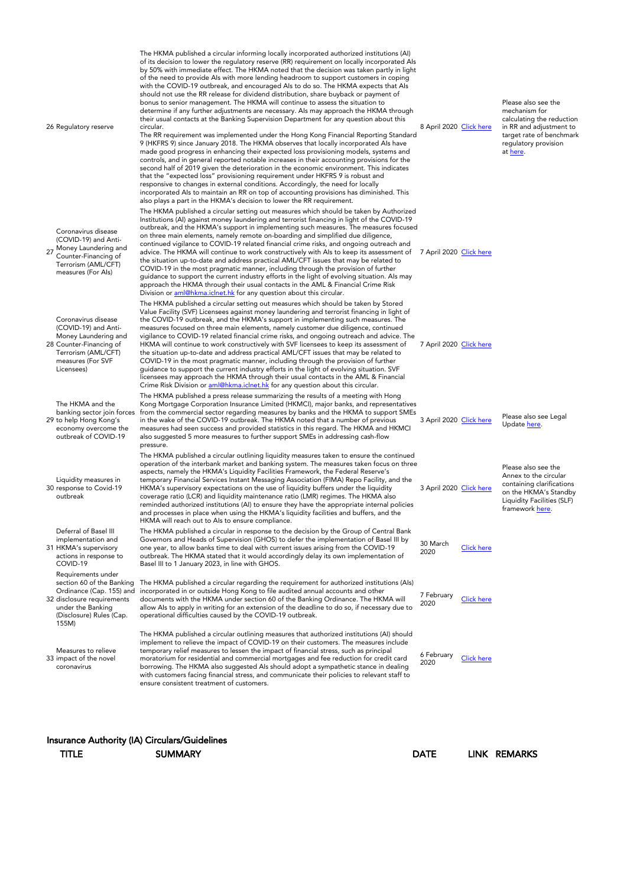| 26 Regulatory reserve                                                                                                                                               | The HKMA published a circular informing locally incorporated authorized institutions (AI)<br>of its decision to lower the regulatory reserve (RR) requirement on locally incorporated Als<br>by 50% with immediate effect. The HKMA noted that the decision was taken partly in light<br>of the need to provide Als with more lending headroom to support customers in coping<br>with the COVID-19 outbreak, and encouraged Als to do so. The HKMA expects that Als<br>should not use the RR release for dividend distribution, share buyback or payment of<br>bonus to senior management. The HKMA will continue to assess the situation to<br>determine if any further adjustments are necessary. Als may approach the HKMA through<br>their usual contacts at the Banking Supervision Department for any question about this<br>circular.<br>The RR requirement was implemented under the Hong Kong Financial Reporting Standard<br>9 (HKFRS 9) since January 2018. The HKMA observes that locally incorporated Als have<br>made good progress in enhancing their expected loss provisioning models, systems and<br>controls, and in general reported notable increases in their accounting provisions for the<br>second half of 2019 given the deterioration in the economic environment. This indicates<br>that the "expected loss" provisioning requirement under HKFRS 9 is robust and<br>responsive to changes in external conditions. Accordingly, the need for locally<br>incorporated Als to maintain an RR on top of accounting provisions has diminished. This<br>also plays a part in the HKMA's decision to lower the RR requirement. | 8 April 2020 Click here |                   | Please also see the<br>mechanism for<br>calculating the reduction<br>in RR and adjustment to<br>target rate of benchmark<br>regulatory provision<br>at here. |
|---------------------------------------------------------------------------------------------------------------------------------------------------------------------|------------------------------------------------------------------------------------------------------------------------------------------------------------------------------------------------------------------------------------------------------------------------------------------------------------------------------------------------------------------------------------------------------------------------------------------------------------------------------------------------------------------------------------------------------------------------------------------------------------------------------------------------------------------------------------------------------------------------------------------------------------------------------------------------------------------------------------------------------------------------------------------------------------------------------------------------------------------------------------------------------------------------------------------------------------------------------------------------------------------------------------------------------------------------------------------------------------------------------------------------------------------------------------------------------------------------------------------------------------------------------------------------------------------------------------------------------------------------------------------------------------------------------------------------------------------------------------------------------------------------------------------------------|-------------------------|-------------------|--------------------------------------------------------------------------------------------------------------------------------------------------------------|
| Coronavirus disease<br>(COVID-19) and Anti-<br>27 Money Laundering and<br>Counter-Financing of<br>Terrorism (AML/CFT)<br>measures (For Als)                         | The HKMA published a circular setting out measures which should be taken by Authorized<br>Institutions (AI) against money laundering and terrorist financing in light of the COVID-19<br>outbreak, and the HKMA's support in implementing such measures. The measures focused<br>on three main elements, namely remote on-boarding and simplified due diligence,<br>continued vigilance to COVID-19 related financial crime risks, and ongoing outreach and<br>advice. The HKMA will continue to work constructively with AIs to keep its assessment of 7 April 2020 Click here<br>the situation up-to-date and address practical AML/CFT issues that may be related to<br>COVID-19 in the most pragmatic manner, including through the provision of further<br>guidance to support the current industry efforts in the light of evolving situation. Als may<br>approach the HKMA through their usual contacts in the AML & Financial Crime Risk<br>Division or aml@hkma.iclnet.hk for any question about this circular.                                                                                                                                                                                                                                                                                                                                                                                                                                                                                                                                                                                                                             |                         |                   |                                                                                                                                                              |
| Coronavirus disease<br>(COVID-19) and Anti-<br>Money Laundering and<br>28 Counter-Financing of<br>Terrorism (AML/CFT)<br>measures (For SVF<br>Licensees)            | The HKMA published a circular setting out measures which should be taken by Stored<br>Value Facility (SVF) Licensees against money laundering and terrorist financing in light of<br>the COVID-19 outbreak, and the HKMA's support in implementing such measures. The<br>measures focused on three main elements, namely customer due diligence, continued<br>vigilance to COVID-19 related financial crime risks, and ongoing outreach and advice. The<br>HKMA will continue to work constructively with SVF licensees to keep its assessment of<br>the situation up-to-date and address practical AML/CFT issues that may be related to<br>COVID-19 in the most pragmatic manner, including through the provision of further<br>guidance to support the current industry efforts in the light of evolving situation. SVF<br>licensees may approach the HKMA through their usual contacts in the AML & Financial<br>Crime Risk Division or aml@hkma.iclnet.hk for any question about this circular.                                                                                                                                                                                                                                                                                                                                                                                                                                                                                                                                                                                                                                                 | 7 April 2020 Click here |                   |                                                                                                                                                              |
| The HKMA and the<br>banking sector join forces<br>29 to help Hong Kong's<br>economy overcome the<br>outbreak of COVID-19                                            | The HKMA published a press release summarizing the results of a meeting with Hong<br>Kong Mortgage Corporation Insurance Limited (HKMCI), major banks, and representatives<br>from the commercial sector regarding measures by banks and the HKMA to support SMEs<br>in the wake of the COVID-19 outbreak. The HKMA noted that a number of previous<br>measures had seen success and provided statistics in this regard. The HKMA and HKMCI<br>also suggested 5 more measures to further support SMEs in addressing cash-flow<br>pressure.                                                                                                                                                                                                                                                                                                                                                                                                                                                                                                                                                                                                                                                                                                                                                                                                                                                                                                                                                                                                                                                                                                           | 3 April 2020 Click here |                   | Please also see Legal<br>Update here.                                                                                                                        |
| Liquidity measures in<br>30 response to Covid-19<br>outbreak                                                                                                        | The HKMA published a circular outlining liquidity measures taken to ensure the continued<br>operation of the interbank market and banking system. The measures taken focus on three<br>aspects, namely the HKMA's Liquidity Facilities Framework, the Federal Reserve's<br>temporary Financial Services Instant Messaging Association (FIMA) Repo Facility, and the<br>HKMA's supervisory expectations on the use of liquidity buffers under the liquidity<br>coverage ratio (LCR) and liquidity maintenance ratio (LMR) regimes. The HKMA also<br>reminded authorized institutions (AI) to ensure they have the appropriate internal policies<br>and processes in place when using the HKMA's liquidity facilities and buffers, and the<br>HKMA will reach out to Als to ensure compliance.                                                                                                                                                                                                                                                                                                                                                                                                                                                                                                                                                                                                                                                                                                                                                                                                                                                         | 3 April 2020 Click here |                   | Please also see the<br>Annex to the circular<br>containing clarifications<br>on the HKMA's Standby<br>Liquidity Facilities (SLF)<br>framework here.          |
| Deferral of Basel III<br>implementation and<br>31 HKMA's supervisory<br>actions in response to<br>COVID-19                                                          | The HKMA published a circular in response to the decision by the Group of Central Bank<br>Governors and Heads of Supervision (GHOS) to defer the implementation of Basel III by<br>one year, to allow banks time to deal with current issues arising from the COVID-19<br>outbreak. The HKMA stated that it would accordingly delay its own implementation of<br>Basel III to 1 January 2023, in line with GHOS.                                                                                                                                                                                                                                                                                                                                                                                                                                                                                                                                                                                                                                                                                                                                                                                                                                                                                                                                                                                                                                                                                                                                                                                                                                     | 30 March<br>2020        | <b>Click here</b> |                                                                                                                                                              |
| Requirements under<br>section 60 of the Banking<br>Ordinance (Cap. 155) and<br>32 disclosure requirements<br>under the Banking<br>(Disclosure) Rules (Cap.<br>155M) | The HKMA published a circular regarding the requirement for authorized institutions (Als)<br>incorporated in or outside Hong Kong to file audited annual accounts and other<br>documents with the HKMA under section 60 of the Banking Ordinance. The HKMA will<br>allow Als to apply in writing for an extension of the deadline to do so, if necessary due to<br>operational difficulties caused by the COVID-19 outbreak.                                                                                                                                                                                                                                                                                                                                                                                                                                                                                                                                                                                                                                                                                                                                                                                                                                                                                                                                                                                                                                                                                                                                                                                                                         | 7 February<br>2020      | <b>Click here</b> |                                                                                                                                                              |
| Measures to relieve<br>33 impact of the novel<br>coronavirus                                                                                                        | The HKMA published a circular outlining measures that authorized institutions (AI) should<br>implement to relieve the impact of COVID-19 on their customers. The measures include<br>temporary relief measures to lessen the impact of financial stress, such as principal<br>moratorium for residential and commercial mortgages and fee reduction for credit card<br>borrowing. The HKMA also suggested Als should adopt a sympathetic stance in dealing<br>with customers facing financial stress, and communicate their policies to relevant staff to<br>ensure consistent treatment of customers.                                                                                                                                                                                                                                                                                                                                                                                                                                                                                                                                                                                                                                                                                                                                                                                                                                                                                                                                                                                                                                               | 6 February<br>2020      | <b>Click here</b> |                                                                                                                                                              |
|                                                                                                                                                                     |                                                                                                                                                                                                                                                                                                                                                                                                                                                                                                                                                                                                                                                                                                                                                                                                                                                                                                                                                                                                                                                                                                                                                                                                                                                                                                                                                                                                                                                                                                                                                                                                                                                      |                         |                   |                                                                                                                                                              |

### Insurance Authority (IA) Circulars/Guidelines

TITLE SUMMARY SUMMARY DATE LINK REMARKS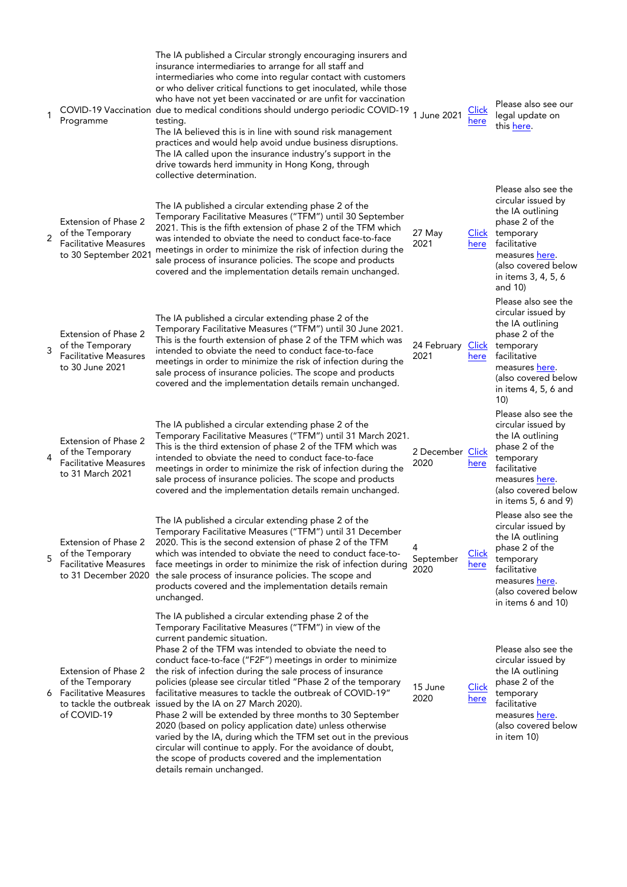|                | Programme                                                                                        | The IA published a Circular strongly encouraging insurers and<br>insurance intermediaries to arrange for all staff and<br>intermediaries who come into regular contact with customers<br>or who deliver critical functions to get inoculated, while those<br>who have not yet been vaccinated or are unfit for vaccination<br>COVID-19 Vaccination due to medical conditions should undergo periodic COVID-19<br>testing.<br>The IA believed this is in line with sound risk management<br>practices and would help avoid undue business disruptions.<br>The IA called upon the insurance industry's support in the<br>drive towards herd immunity in Hong Kong, through<br>collective determination.                                                                                                                                                                           | 1 June 2021               | <b>Click</b><br>here | Please also see our<br>legal update on<br>this here.                                                                                                                                          |
|----------------|--------------------------------------------------------------------------------------------------|---------------------------------------------------------------------------------------------------------------------------------------------------------------------------------------------------------------------------------------------------------------------------------------------------------------------------------------------------------------------------------------------------------------------------------------------------------------------------------------------------------------------------------------------------------------------------------------------------------------------------------------------------------------------------------------------------------------------------------------------------------------------------------------------------------------------------------------------------------------------------------|---------------------------|----------------------|-----------------------------------------------------------------------------------------------------------------------------------------------------------------------------------------------|
| $\overline{2}$ | Extension of Phase 2<br>of the Temporary<br><b>Facilitative Measures</b><br>to 30 September 2021 | The IA published a circular extending phase 2 of the<br>Temporary Facilitative Measures ("TFM") until 30 September<br>2021. This is the fifth extension of phase 2 of the TFM which<br>was intended to obviate the need to conduct face-to-face<br>meetings in order to minimize the risk of infection during the<br>sale process of insurance policies. The scope and products<br>covered and the implementation details remain unchanged.                                                                                                                                                                                                                                                                                                                                                                                                                                     | 27 May<br>2021            | here                 | Please also see the<br>circular issued by<br>the IA outlining<br>phase 2 of the<br>Click temporary<br>facilitative<br>measures here.<br>(also covered below<br>in items 3, 4, 5, 6<br>and 10) |
| 3              | Extension of Phase 2<br>of the Temporary<br><b>Facilitative Measures</b><br>to 30 June 2021      | The IA published a circular extending phase 2 of the<br>Temporary Facilitative Measures ("TFM") until 30 June 2021.<br>This is the fourth extension of phase 2 of the TFM which was<br>intended to obviate the need to conduct face-to-face<br>meetings in order to minimize the risk of infection during the<br>sale process of insurance policies. The scope and products<br>covered and the implementation details remain unchanged.                                                                                                                                                                                                                                                                                                                                                                                                                                         | 24 February Click<br>2021 | here                 | Please also see the<br>circular issued by<br>the IA outlining<br>phase 2 of the<br>temporary<br>facilitative<br>measures here.<br>(also covered below<br>in items 4, 5, 6 and<br>10)          |
| 4              | Extension of Phase 2<br>of the Temporary<br><b>Facilitative Measures</b><br>to 31 March 2021     | The IA published a circular extending phase 2 of the<br>Temporary Facilitative Measures ("TFM") until 31 March 2021.<br>This is the third extension of phase 2 of the TFM which was<br>intended to obviate the need to conduct face-to-face<br>meetings in order to minimize the risk of infection during the<br>sale process of insurance policies. The scope and products<br>covered and the implementation details remain unchanged.                                                                                                                                                                                                                                                                                                                                                                                                                                         | 2 December Click<br>2020  | here                 | Please also see the<br>circular issued by<br>the IA outlining<br>phase 2 of the<br>temporary<br>facilitative<br>measures here.<br>(also covered below<br>in items $5, 6$ and $9$ )            |
| 5              | Extension of Phase 2<br>of the Temporary<br><b>Facilitative Measures</b><br>to 31 December 2020  | The IA published a circular extending phase 2 of the<br>Temporary Facilitative Measures ("TFM") until 31 December<br>2020. This is the second extension of phase 2 of the TFM<br>which was intended to obviate the need to conduct face-to-<br>face meetings in order to minimize the risk of infection during<br>the sale process of insurance policies. The scope and<br>products covered and the implementation details remain<br>unchanged.                                                                                                                                                                                                                                                                                                                                                                                                                                 | September<br>2020         | <b>Click</b><br>here | Please also see the<br>circular issued by<br>the IA outlining<br>phase 2 of the<br>temporary<br>facilitative<br>measures here.<br>(also covered below<br>in items 6 and 10)                   |
|                | Extension of Phase 2<br>of the Temporary<br>6 Facilitative Measures<br>of COVID-19               | The IA published a circular extending phase 2 of the<br>Temporary Facilitative Measures ("TFM") in view of the<br>current pandemic situation.<br>Phase 2 of the TFM was intended to obviate the need to<br>conduct face-to-face ("F2F") meetings in order to minimize<br>the risk of infection during the sale process of insurance<br>policies (please see circular titled "Phase 2 of the temporary<br>facilitative measures to tackle the outbreak of COVID-19"<br>to tackle the outbreak issued by the IA on 27 March 2020).<br>Phase 2 will be extended by three months to 30 September<br>2020 (based on policy application date) unless otherwise<br>varied by the IA, during which the TFM set out in the previous<br>circular will continue to apply. For the avoidance of doubt,<br>the scope of products covered and the implementation<br>details remain unchanged. | 15 June<br>2020           | <b>Click</b><br>here | Please also see the<br>circular issued by<br>the IA outlining<br>phase 2 of the<br>temporary<br>facilitative<br>measures here.<br>(also covered below<br>in item 10)                          |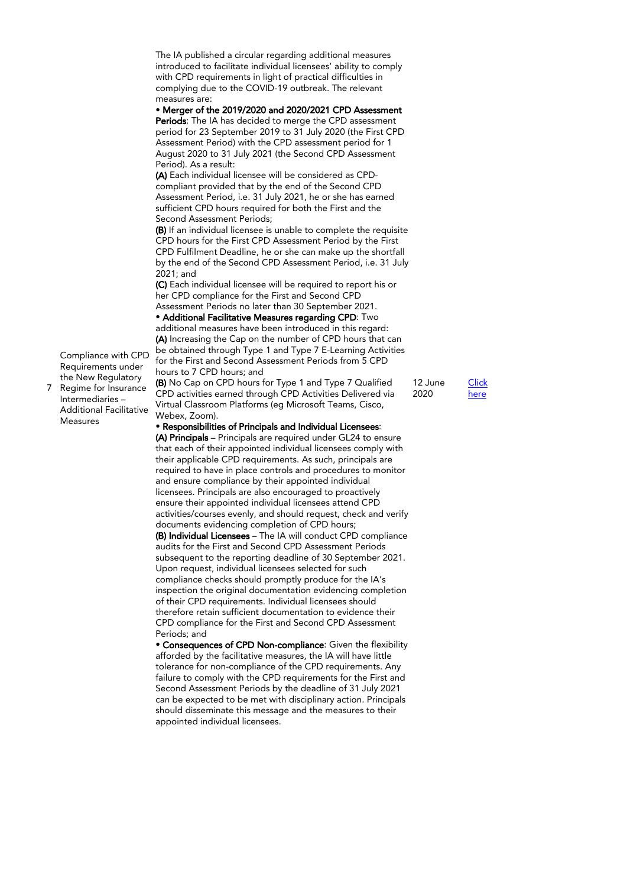The IA published a circular regarding additional measures introduced to facilitate individual licensees' ability to comply with CPD requirements in light of practical difficulties in complying due to the COVID-19 outbreak. The relevant measures are:

• Merger of the 2019/2020 and 2020/2021 CPD Assessment Periods: The IA has decided to merge the CPD assessment period for 23 September 2019 to 31 July 2020 (the First CPD Assessment Period) with the CPD assessment period for 1 August 2020 to 31 July 2021 (the Second CPD Assessment Period). As a result:

(A) Each individual licensee will be considered as CPDcompliant provided that by the end of the Second CPD Assessment Period, i.e. 31 July 2021, he or she has earned sufficient CPD hours required for both the First and the Second Assessment Periods;

(B) If an individual licensee is unable to complete the requisite CPD hours for the First CPD Assessment Period by the First CPD Fulfilment Deadline, he or she can make up the shortfall by the end of the Second CPD Assessment Period, i.e. 31 July 2021; and

(C) Each individual licensee will be required to report his or her CPD compliance for the First and Second CPD Assessment Periods no later than 30 September 2021.

• Additional Facilitative Measures regarding CPD: Two additional measures have been introduced in this regard: (A) Increasing the Cap on the number of CPD hours that can be obtained through Type 1 and Type 7 E-Learning Activities for the First and Second Assessment Periods from 5 CPD hours to 7 CPD hours; and

(B) No Cap on CPD hours for Type 1 and Type 7 Qualified CPD activities earned through CPD Activities Delivered via Virtual Classroom Platforms (eg Microsoft Teams, Cisco, Webex, Zoom).

• Responsibilities of Principals and Individual Licensees: (A) Principals – Principals are required under GL24 to ensure that each of their appointed individual licensees comply with their applicable CPD requirements. As such, principals are required to have in place controls and procedures to monitor and ensure compliance by their appointed individual licensees. Principals are also encouraged to proactively ensure their appointed individual licensees attend CPD activities/courses evenly, and should request, check and verify documents evidencing completion of CPD hours;

(B) Individual Licensees – The IA will conduct CPD compliance audits for the First and Second CPD Assessment Periods subsequent to the reporting deadline of 30 September 2021. Upon request, individual licensees selected for such compliance checks should promptly produce for the IA's inspection the original documentation evidencing completion of their CPD requirements. Individual licensees should therefore retain sufficient documentation to evidence their CPD compliance for the First and Second CPD Assessment Periods; and

• Consequences of CPD Non-compliance: Given the flexibility afforded by the facilitative measures, the IA will have little tolerance for non-compliance of the CPD requirements. Any failure to comply with the CPD requirements for the First and Second Assessment Periods by the deadline of 31 July 2021 can be expected to be met with disciplinary action. Principals should disseminate this message and the measures to their appointed individual licensees.

12 June **[Click](https://www.ia.org.hk/en/legislative_framework/circulars/reg_matters/files/Circular_12062020.pdf)** [here](https://www.ia.org.hk/en/legislative_framework/circulars/reg_matters/files/Circular_12062020.pdf)

2020

7 Regime for Insurance Compliance with CPD Requirements under the New Regulatory Intermediaries – Additional Facilitative

Measures